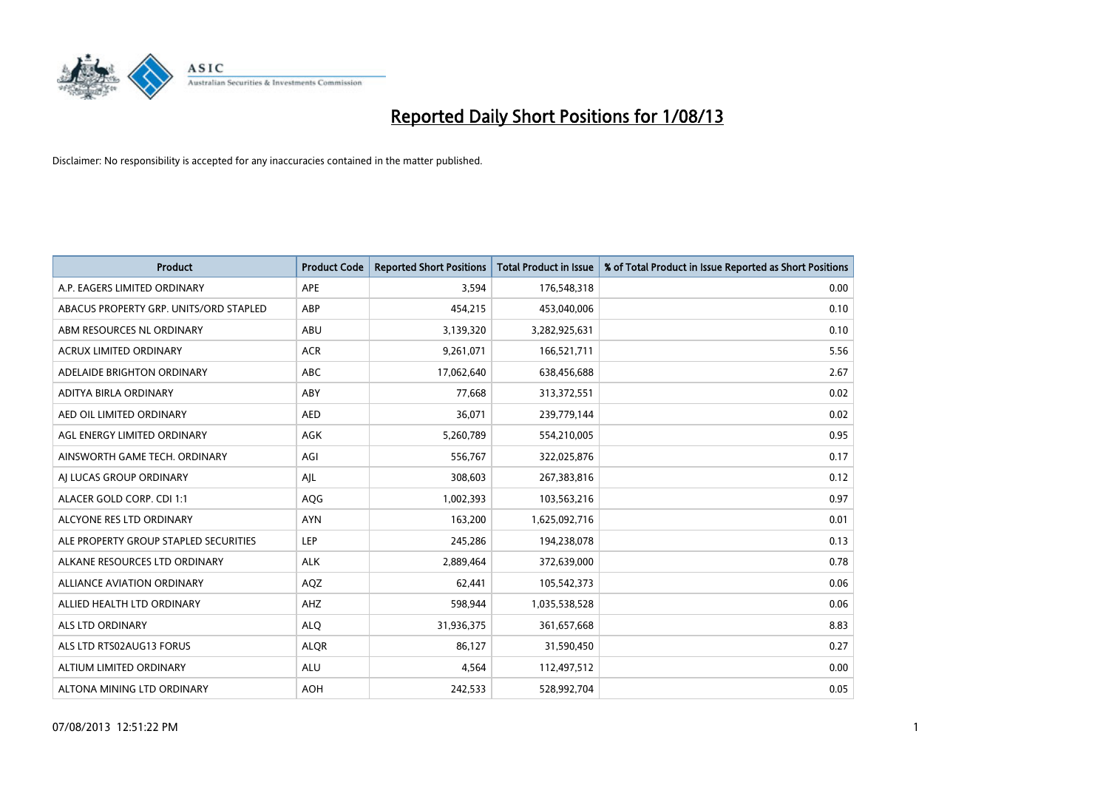

| <b>Product</b>                         | <b>Product Code</b> | <b>Reported Short Positions</b> | <b>Total Product in Issue</b> | % of Total Product in Issue Reported as Short Positions |
|----------------------------------------|---------------------|---------------------------------|-------------------------------|---------------------------------------------------------|
| A.P. EAGERS LIMITED ORDINARY           | <b>APE</b>          | 3,594                           | 176,548,318                   | 0.00                                                    |
| ABACUS PROPERTY GRP. UNITS/ORD STAPLED | ABP                 | 454,215                         | 453,040,006                   | 0.10                                                    |
| ABM RESOURCES NL ORDINARY              | ABU                 | 3,139,320                       | 3,282,925,631                 | 0.10                                                    |
| ACRUX LIMITED ORDINARY                 | <b>ACR</b>          | 9,261,071                       | 166,521,711                   | 5.56                                                    |
| ADELAIDE BRIGHTON ORDINARY             | <b>ABC</b>          | 17,062,640                      | 638,456,688                   | 2.67                                                    |
| ADITYA BIRLA ORDINARY                  | ABY                 | 77,668                          | 313,372,551                   | 0.02                                                    |
| AED OIL LIMITED ORDINARY               | <b>AED</b>          | 36,071                          | 239,779,144                   | 0.02                                                    |
| AGL ENERGY LIMITED ORDINARY            | AGK                 | 5,260,789                       | 554,210,005                   | 0.95                                                    |
| AINSWORTH GAME TECH. ORDINARY          | AGI                 | 556,767                         | 322,025,876                   | 0.17                                                    |
| AI LUCAS GROUP ORDINARY                | AJL                 | 308,603                         | 267,383,816                   | 0.12                                                    |
| ALACER GOLD CORP. CDI 1:1              | AQG                 | 1,002,393                       | 103,563,216                   | 0.97                                                    |
| ALCYONE RES LTD ORDINARY               | <b>AYN</b>          | 163,200                         | 1,625,092,716                 | 0.01                                                    |
| ALE PROPERTY GROUP STAPLED SECURITIES  | <b>LEP</b>          | 245,286                         | 194,238,078                   | 0.13                                                    |
| ALKANE RESOURCES LTD ORDINARY          | <b>ALK</b>          | 2,889,464                       | 372,639,000                   | 0.78                                                    |
| <b>ALLIANCE AVIATION ORDINARY</b>      | AQZ                 | 62,441                          | 105,542,373                   | 0.06                                                    |
| ALLIED HEALTH LTD ORDINARY             | AHZ                 | 598,944                         | 1,035,538,528                 | 0.06                                                    |
| ALS LTD ORDINARY                       | <b>ALQ</b>          | 31,936,375                      | 361,657,668                   | 8.83                                                    |
| ALS LTD RTS02AUG13 FORUS               | <b>ALQR</b>         | 86,127                          | 31,590,450                    | 0.27                                                    |
| ALTIUM LIMITED ORDINARY                | <b>ALU</b>          | 4,564                           | 112,497,512                   | 0.00                                                    |
| ALTONA MINING LTD ORDINARY             | <b>AOH</b>          | 242,533                         | 528,992,704                   | 0.05                                                    |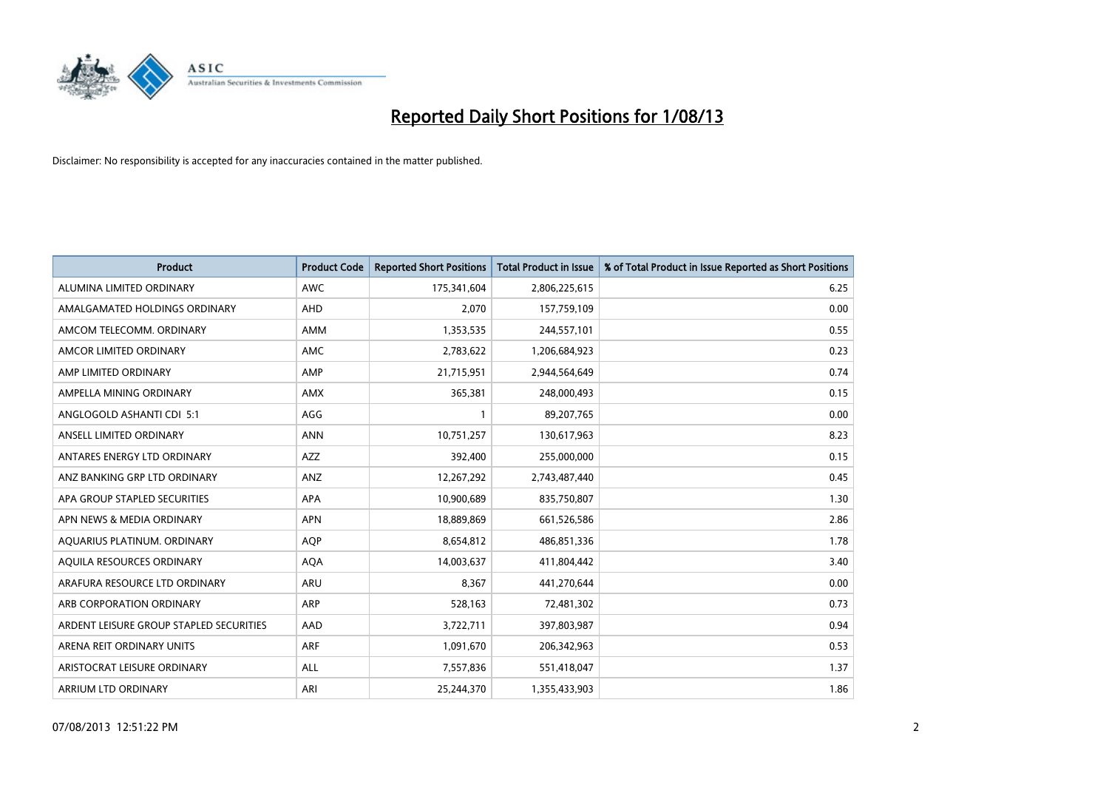

| <b>Product</b>                          | <b>Product Code</b> | <b>Reported Short Positions</b> | <b>Total Product in Issue</b> | % of Total Product in Issue Reported as Short Positions |
|-----------------------------------------|---------------------|---------------------------------|-------------------------------|---------------------------------------------------------|
| ALUMINA LIMITED ORDINARY                | <b>AWC</b>          | 175,341,604                     | 2,806,225,615                 | 6.25                                                    |
| AMALGAMATED HOLDINGS ORDINARY           | <b>AHD</b>          | 2,070                           | 157,759,109                   | 0.00                                                    |
| AMCOM TELECOMM, ORDINARY                | AMM                 | 1,353,535                       | 244,557,101                   | 0.55                                                    |
| AMCOR LIMITED ORDINARY                  | AMC                 | 2,783,622                       | 1,206,684,923                 | 0.23                                                    |
| AMP LIMITED ORDINARY                    | AMP                 | 21,715,951                      | 2,944,564,649                 | 0.74                                                    |
| AMPELLA MINING ORDINARY                 | AMX                 | 365,381                         | 248,000,493                   | 0.15                                                    |
| ANGLOGOLD ASHANTI CDI 5:1               | AGG                 | 1                               | 89,207,765                    | 0.00                                                    |
| ANSELL LIMITED ORDINARY                 | <b>ANN</b>          | 10,751,257                      | 130,617,963                   | 8.23                                                    |
| ANTARES ENERGY LTD ORDINARY             | <b>AZZ</b>          | 392,400                         | 255,000,000                   | 0.15                                                    |
| ANZ BANKING GRP LTD ORDINARY            | ANZ                 | 12,267,292                      | 2,743,487,440                 | 0.45                                                    |
| APA GROUP STAPLED SECURITIES            | APA                 | 10,900,689                      | 835,750,807                   | 1.30                                                    |
| APN NEWS & MEDIA ORDINARY               | <b>APN</b>          | 18,889,869                      | 661,526,586                   | 2.86                                                    |
| AQUARIUS PLATINUM. ORDINARY             | <b>AOP</b>          | 8,654,812                       | 486,851,336                   | 1.78                                                    |
| AOUILA RESOURCES ORDINARY               | <b>AQA</b>          | 14,003,637                      | 411,804,442                   | 3.40                                                    |
| ARAFURA RESOURCE LTD ORDINARY           | ARU                 | 8,367                           | 441,270,644                   | 0.00                                                    |
| ARB CORPORATION ORDINARY                | <b>ARP</b>          | 528,163                         | 72,481,302                    | 0.73                                                    |
| ARDENT LEISURE GROUP STAPLED SECURITIES | AAD                 | 3,722,711                       | 397,803,987                   | 0.94                                                    |
| ARENA REIT ORDINARY UNITS               | <b>ARF</b>          | 1,091,670                       | 206,342,963                   | 0.53                                                    |
| ARISTOCRAT LEISURE ORDINARY             | ALL                 | 7,557,836                       | 551,418,047                   | 1.37                                                    |
| <b>ARRIUM LTD ORDINARY</b>              | ARI                 | 25.244.370                      | 1,355,433,903                 | 1.86                                                    |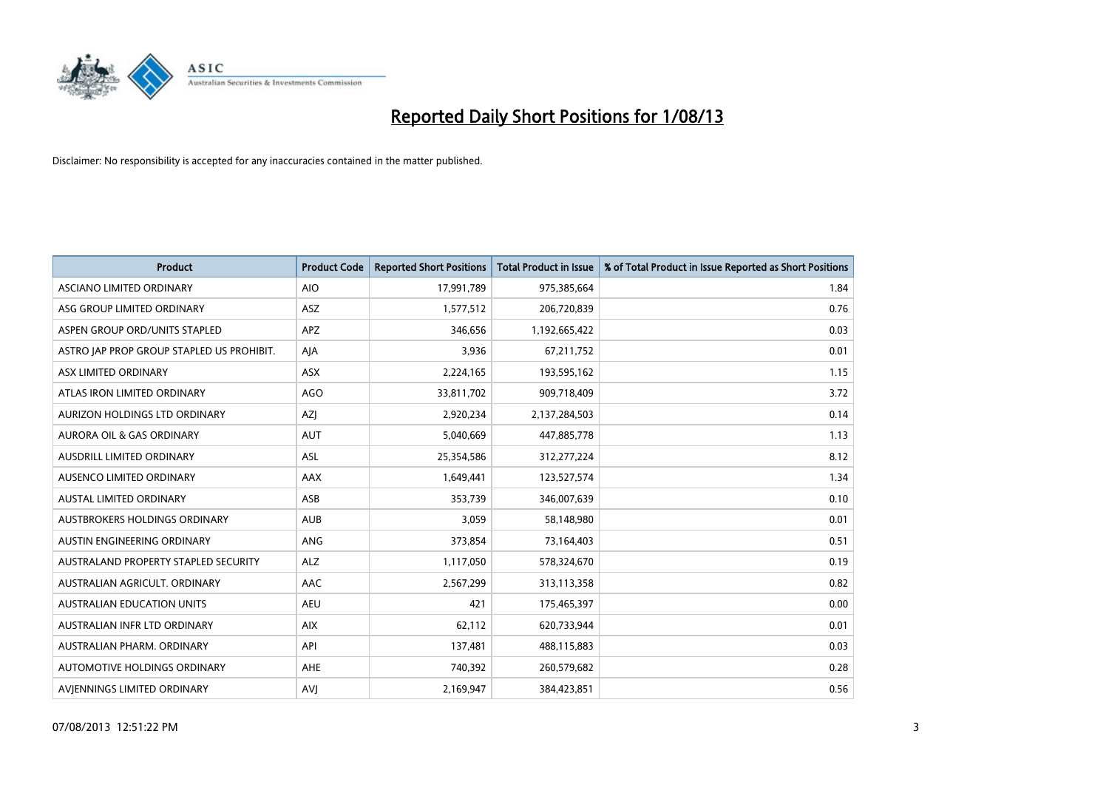

| <b>Product</b>                            | <b>Product Code</b> | <b>Reported Short Positions</b> | <b>Total Product in Issue</b> | % of Total Product in Issue Reported as Short Positions |
|-------------------------------------------|---------------------|---------------------------------|-------------------------------|---------------------------------------------------------|
| ASCIANO LIMITED ORDINARY                  | <b>AIO</b>          | 17,991,789                      | 975,385,664                   | 1.84                                                    |
| ASG GROUP LIMITED ORDINARY                | ASZ                 | 1,577,512                       | 206,720,839                   | 0.76                                                    |
| ASPEN GROUP ORD/UNITS STAPLED             | <b>APZ</b>          | 346,656                         | 1,192,665,422                 | 0.03                                                    |
| ASTRO JAP PROP GROUP STAPLED US PROHIBIT. | AJA                 | 3,936                           | 67,211,752                    | 0.01                                                    |
| ASX LIMITED ORDINARY                      | ASX                 | 2,224,165                       | 193,595,162                   | 1.15                                                    |
| ATLAS IRON LIMITED ORDINARY               | <b>AGO</b>          | 33,811,702                      | 909,718,409                   | 3.72                                                    |
| AURIZON HOLDINGS LTD ORDINARY             | AZJ                 | 2,920,234                       | 2,137,284,503                 | 0.14                                                    |
| AURORA OIL & GAS ORDINARY                 | AUT                 | 5,040,669                       | 447,885,778                   | 1.13                                                    |
| AUSDRILL LIMITED ORDINARY                 | <b>ASL</b>          | 25,354,586                      | 312,277,224                   | 8.12                                                    |
| AUSENCO LIMITED ORDINARY                  | AAX                 | 1,649,441                       | 123,527,574                   | 1.34                                                    |
| AUSTAL LIMITED ORDINARY                   | ASB                 | 353,739                         | 346,007,639                   | 0.10                                                    |
| AUSTBROKERS HOLDINGS ORDINARY             | <b>AUB</b>          | 3,059                           | 58,148,980                    | 0.01                                                    |
| AUSTIN ENGINEERING ORDINARY               | ANG                 | 373,854                         | 73,164,403                    | 0.51                                                    |
| AUSTRALAND PROPERTY STAPLED SECURITY      | <b>ALZ</b>          | 1,117,050                       | 578,324,670                   | 0.19                                                    |
| AUSTRALIAN AGRICULT, ORDINARY             | <b>AAC</b>          | 2,567,299                       | 313,113,358                   | 0.82                                                    |
| <b>AUSTRALIAN EDUCATION UNITS</b>         | <b>AEU</b>          | 421                             | 175,465,397                   | 0.00                                                    |
| AUSTRALIAN INFR LTD ORDINARY              | <b>AIX</b>          | 62,112                          | 620,733,944                   | 0.01                                                    |
| AUSTRALIAN PHARM. ORDINARY                | API                 | 137,481                         | 488,115,883                   | 0.03                                                    |
| AUTOMOTIVE HOLDINGS ORDINARY              | AHE                 | 740,392                         | 260,579,682                   | 0.28                                                    |
| AVIENNINGS LIMITED ORDINARY               | <b>AVJ</b>          | 2,169,947                       | 384,423,851                   | 0.56                                                    |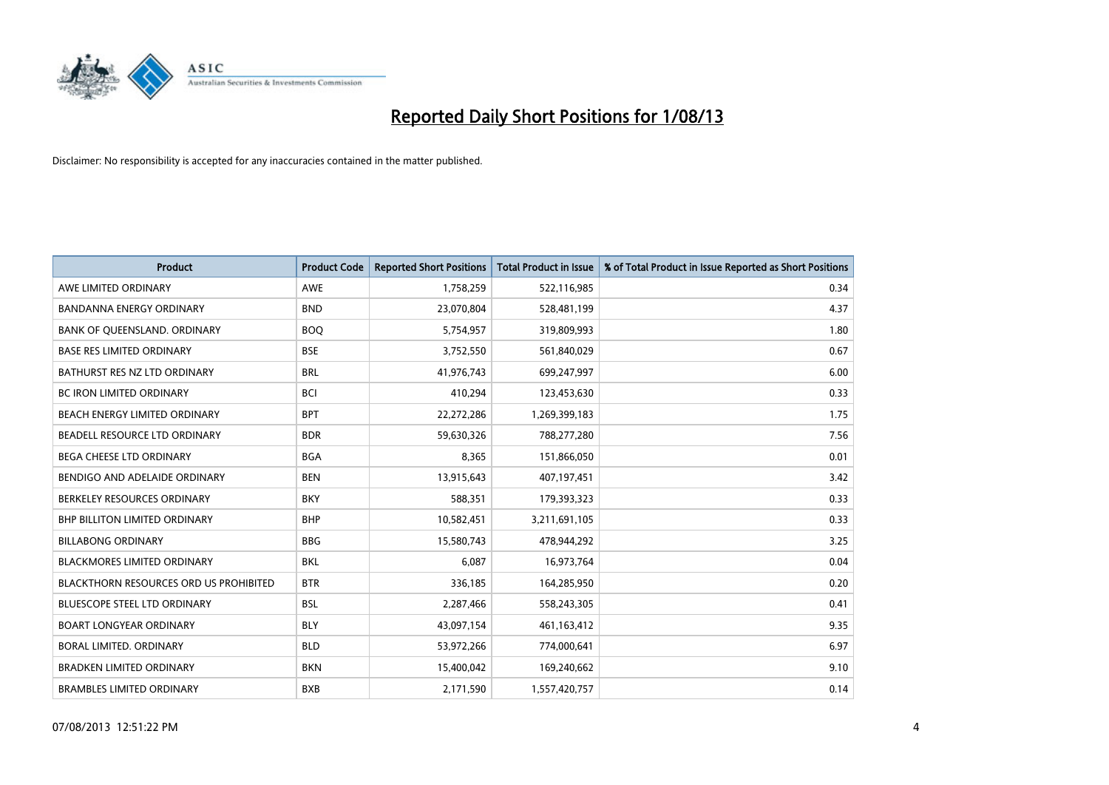

| <b>Product</b>                                | <b>Product Code</b> | <b>Reported Short Positions</b> | <b>Total Product in Issue</b> | % of Total Product in Issue Reported as Short Positions |
|-----------------------------------------------|---------------------|---------------------------------|-------------------------------|---------------------------------------------------------|
| AWE LIMITED ORDINARY                          | <b>AWE</b>          | 1,758,259                       | 522,116,985                   | 0.34                                                    |
| BANDANNA ENERGY ORDINARY                      | <b>BND</b>          | 23,070,804                      | 528,481,199                   | 4.37                                                    |
| BANK OF QUEENSLAND. ORDINARY                  | <b>BOQ</b>          | 5,754,957                       | 319,809,993                   | 1.80                                                    |
| <b>BASE RES LIMITED ORDINARY</b>              | <b>BSE</b>          | 3,752,550                       | 561,840,029                   | 0.67                                                    |
| BATHURST RES NZ LTD ORDINARY                  | <b>BRL</b>          | 41,976,743                      | 699,247,997                   | 6.00                                                    |
| <b>BC IRON LIMITED ORDINARY</b>               | <b>BCI</b>          | 410,294                         | 123,453,630                   | 0.33                                                    |
| BEACH ENERGY LIMITED ORDINARY                 | <b>BPT</b>          | 22,272,286                      | 1,269,399,183                 | 1.75                                                    |
| BEADELL RESOURCE LTD ORDINARY                 | <b>BDR</b>          | 59,630,326                      | 788,277,280                   | 7.56                                                    |
| BEGA CHEESE LTD ORDINARY                      | <b>BGA</b>          | 8,365                           | 151,866,050                   | 0.01                                                    |
| BENDIGO AND ADELAIDE ORDINARY                 | <b>BEN</b>          | 13,915,643                      | 407,197,451                   | 3.42                                                    |
| BERKELEY RESOURCES ORDINARY                   | <b>BKY</b>          | 588,351                         | 179,393,323                   | 0.33                                                    |
| <b>BHP BILLITON LIMITED ORDINARY</b>          | <b>BHP</b>          | 10,582,451                      | 3,211,691,105                 | 0.33                                                    |
| <b>BILLABONG ORDINARY</b>                     | <b>BBG</b>          | 15,580,743                      | 478,944,292                   | 3.25                                                    |
| <b>BLACKMORES LIMITED ORDINARY</b>            | <b>BKL</b>          | 6,087                           | 16,973,764                    | 0.04                                                    |
| <b>BLACKTHORN RESOURCES ORD US PROHIBITED</b> | <b>BTR</b>          | 336,185                         | 164,285,950                   | 0.20                                                    |
| BLUESCOPE STEEL LTD ORDINARY                  | <b>BSL</b>          | 2,287,466                       | 558,243,305                   | 0.41                                                    |
| <b>BOART LONGYEAR ORDINARY</b>                | <b>BLY</b>          | 43,097,154                      | 461,163,412                   | 9.35                                                    |
| BORAL LIMITED, ORDINARY                       | <b>BLD</b>          | 53,972,266                      | 774,000,641                   | 6.97                                                    |
| <b>BRADKEN LIMITED ORDINARY</b>               | <b>BKN</b>          | 15,400,042                      | 169,240,662                   | 9.10                                                    |
| <b>BRAMBLES LIMITED ORDINARY</b>              | <b>BXB</b>          | 2,171,590                       | 1,557,420,757                 | 0.14                                                    |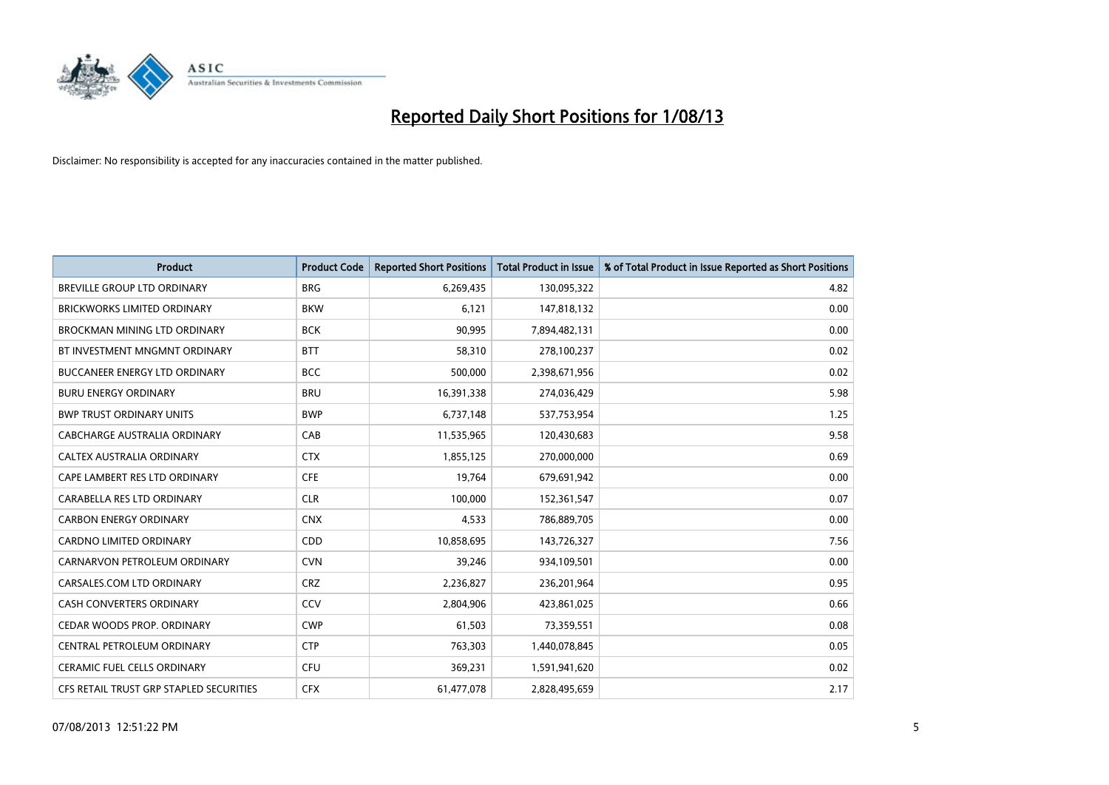

| <b>Product</b>                          | <b>Product Code</b> | <b>Reported Short Positions</b> | <b>Total Product in Issue</b> | % of Total Product in Issue Reported as Short Positions |
|-----------------------------------------|---------------------|---------------------------------|-------------------------------|---------------------------------------------------------|
| <b>BREVILLE GROUP LTD ORDINARY</b>      | <b>BRG</b>          | 6,269,435                       | 130,095,322                   | 4.82                                                    |
| BRICKWORKS LIMITED ORDINARY             | <b>BKW</b>          | 6,121                           | 147,818,132                   | 0.00                                                    |
| BROCKMAN MINING LTD ORDINARY            | <b>BCK</b>          | 90,995                          | 7,894,482,131                 | 0.00                                                    |
| BT INVESTMENT MNGMNT ORDINARY           | <b>BTT</b>          | 58,310                          | 278,100,237                   | 0.02                                                    |
| <b>BUCCANEER ENERGY LTD ORDINARY</b>    | <b>BCC</b>          | 500,000                         | 2,398,671,956                 | 0.02                                                    |
| <b>BURU ENERGY ORDINARY</b>             | <b>BRU</b>          | 16,391,338                      | 274,036,429                   | 5.98                                                    |
| <b>BWP TRUST ORDINARY UNITS</b>         | <b>BWP</b>          | 6,737,148                       | 537,753,954                   | 1.25                                                    |
| <b>CABCHARGE AUSTRALIA ORDINARY</b>     | CAB                 | 11,535,965                      | 120,430,683                   | 9.58                                                    |
| CALTEX AUSTRALIA ORDINARY               | <b>CTX</b>          | 1,855,125                       | 270,000,000                   | 0.69                                                    |
| CAPE LAMBERT RES LTD ORDINARY           | <b>CFE</b>          | 19,764                          | 679,691,942                   | 0.00                                                    |
| CARABELLA RES LTD ORDINARY              | <b>CLR</b>          | 100,000                         | 152,361,547                   | 0.07                                                    |
| <b>CARBON ENERGY ORDINARY</b>           | <b>CNX</b>          | 4,533                           | 786,889,705                   | 0.00                                                    |
| CARDNO LIMITED ORDINARY                 | CDD                 | 10,858,695                      | 143,726,327                   | 7.56                                                    |
| CARNARVON PETROLEUM ORDINARY            | <b>CVN</b>          | 39,246                          | 934,109,501                   | 0.00                                                    |
| CARSALES.COM LTD ORDINARY               | <b>CRZ</b>          | 2,236,827                       | 236,201,964                   | 0.95                                                    |
| CASH CONVERTERS ORDINARY                | CCV                 | 2,804,906                       | 423,861,025                   | 0.66                                                    |
| CEDAR WOODS PROP. ORDINARY              | <b>CWP</b>          | 61,503                          | 73,359,551                    | 0.08                                                    |
| CENTRAL PETROLEUM ORDINARY              | <b>CTP</b>          | 763,303                         | 1,440,078,845                 | 0.05                                                    |
| <b>CERAMIC FUEL CELLS ORDINARY</b>      | <b>CFU</b>          | 369,231                         | 1,591,941,620                 | 0.02                                                    |
| CFS RETAIL TRUST GRP STAPLED SECURITIES | <b>CFX</b>          | 61,477,078                      | 2,828,495,659                 | 2.17                                                    |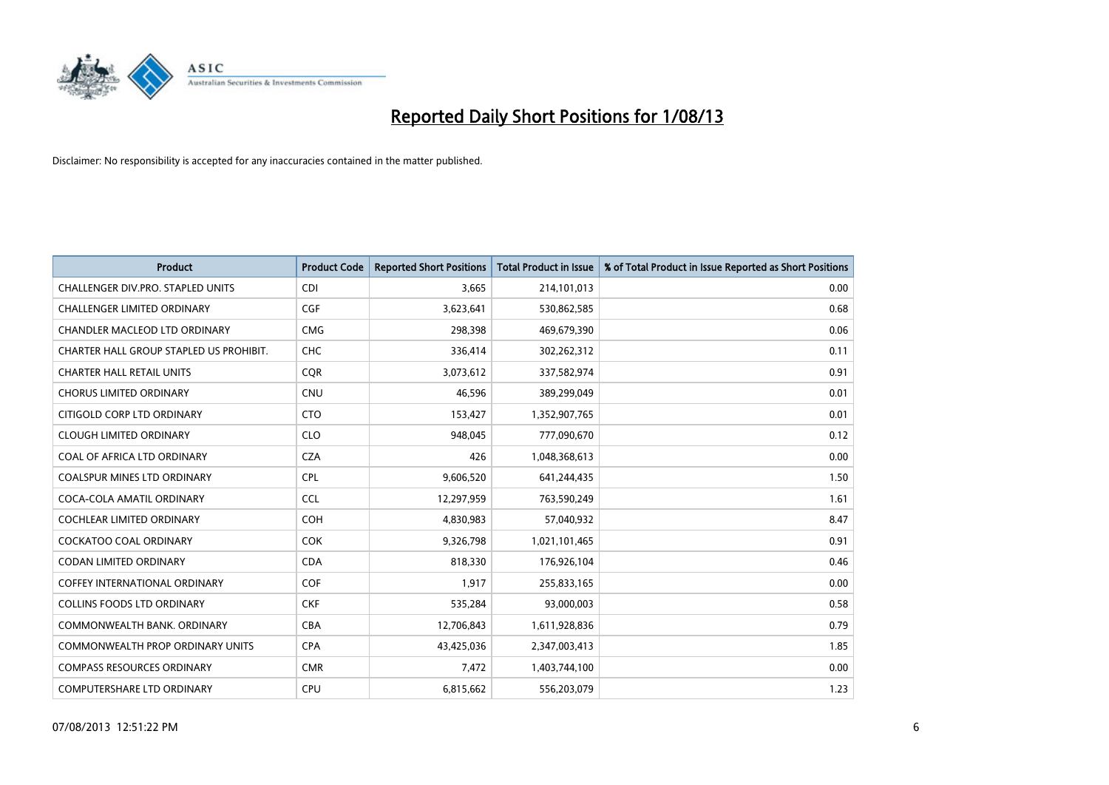

| <b>Product</b>                          | <b>Product Code</b> | <b>Reported Short Positions</b> | <b>Total Product in Issue</b> | % of Total Product in Issue Reported as Short Positions |
|-----------------------------------------|---------------------|---------------------------------|-------------------------------|---------------------------------------------------------|
| CHALLENGER DIV.PRO. STAPLED UNITS       | <b>CDI</b>          | 3,665                           | 214,101,013                   | 0.00                                                    |
| CHALLENGER LIMITED ORDINARY             | <b>CGF</b>          | 3,623,641                       | 530,862,585                   | 0.68                                                    |
| CHANDLER MACLEOD LTD ORDINARY           | <b>CMG</b>          | 298,398                         | 469,679,390                   | 0.06                                                    |
| CHARTER HALL GROUP STAPLED US PROHIBIT. | <b>CHC</b>          | 336,414                         | 302,262,312                   | 0.11                                                    |
| <b>CHARTER HALL RETAIL UNITS</b>        | <b>COR</b>          | 3,073,612                       | 337,582,974                   | 0.91                                                    |
| <b>CHORUS LIMITED ORDINARY</b>          | CNU                 | 46,596                          | 389,299,049                   | 0.01                                                    |
| CITIGOLD CORP LTD ORDINARY              | <b>CTO</b>          | 153,427                         | 1,352,907,765                 | 0.01                                                    |
| <b>CLOUGH LIMITED ORDINARY</b>          | <b>CLO</b>          | 948,045                         | 777,090,670                   | 0.12                                                    |
| COAL OF AFRICA LTD ORDINARY             | <b>CZA</b>          | 426                             | 1,048,368,613                 | 0.00                                                    |
| <b>COALSPUR MINES LTD ORDINARY</b>      | <b>CPL</b>          | 9,606,520                       | 641,244,435                   | 1.50                                                    |
| COCA-COLA AMATIL ORDINARY               | <b>CCL</b>          | 12,297,959                      | 763,590,249                   | 1.61                                                    |
| <b>COCHLEAR LIMITED ORDINARY</b>        | <b>COH</b>          | 4,830,983                       | 57,040,932                    | 8.47                                                    |
| COCKATOO COAL ORDINARY                  | <b>COK</b>          | 9,326,798                       | 1,021,101,465                 | 0.91                                                    |
| <b>CODAN LIMITED ORDINARY</b>           | <b>CDA</b>          | 818,330                         | 176,926,104                   | 0.46                                                    |
| <b>COFFEY INTERNATIONAL ORDINARY</b>    | <b>COF</b>          | 1,917                           | 255,833,165                   | 0.00                                                    |
| <b>COLLINS FOODS LTD ORDINARY</b>       | <b>CKF</b>          | 535,284                         | 93,000,003                    | 0.58                                                    |
| COMMONWEALTH BANK, ORDINARY             | <b>CBA</b>          | 12,706,843                      | 1,611,928,836                 | 0.79                                                    |
| <b>COMMONWEALTH PROP ORDINARY UNITS</b> | <b>CPA</b>          | 43,425,036                      | 2,347,003,413                 | 1.85                                                    |
| <b>COMPASS RESOURCES ORDINARY</b>       | <b>CMR</b>          | 7,472                           | 1,403,744,100                 | 0.00                                                    |
| COMPUTERSHARE LTD ORDINARY              | <b>CPU</b>          | 6,815,662                       | 556,203,079                   | 1.23                                                    |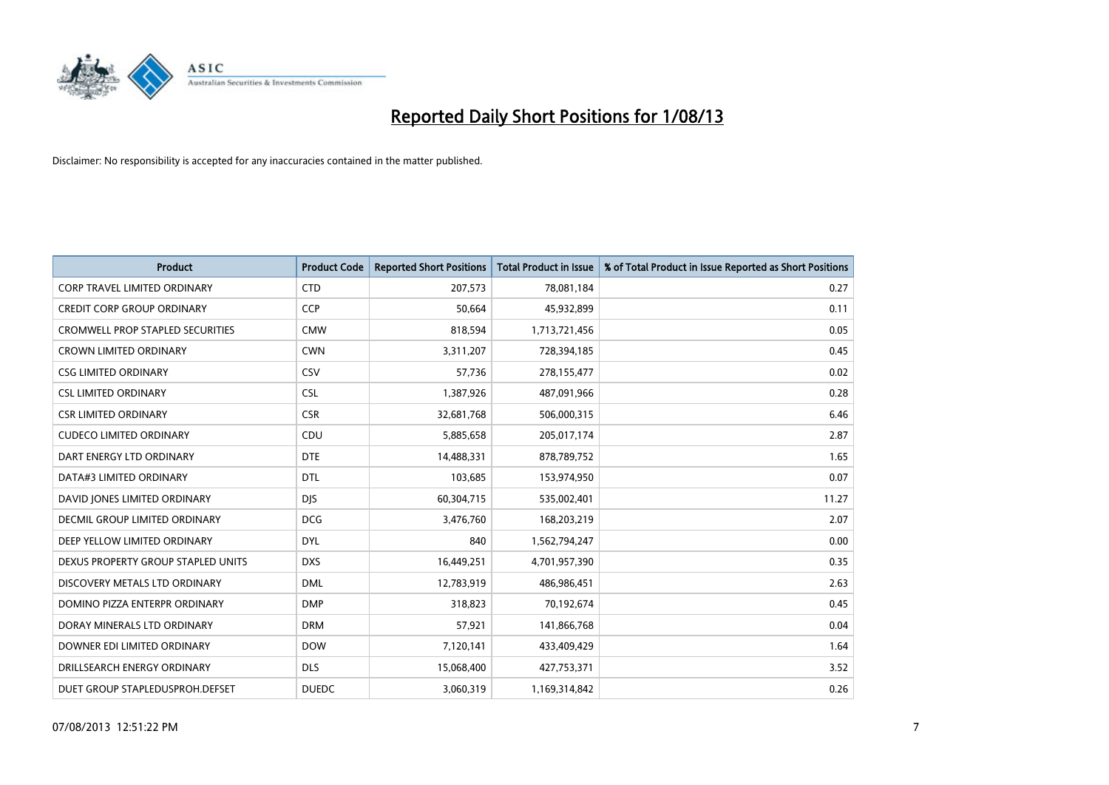

| <b>Product</b>                          | <b>Product Code</b> | <b>Reported Short Positions</b> | <b>Total Product in Issue</b> | % of Total Product in Issue Reported as Short Positions |
|-----------------------------------------|---------------------|---------------------------------|-------------------------------|---------------------------------------------------------|
| <b>CORP TRAVEL LIMITED ORDINARY</b>     | <b>CTD</b>          | 207,573                         | 78,081,184                    | 0.27                                                    |
| <b>CREDIT CORP GROUP ORDINARY</b>       | <b>CCP</b>          | 50,664                          | 45,932,899                    | 0.11                                                    |
| <b>CROMWELL PROP STAPLED SECURITIES</b> | <b>CMW</b>          | 818,594                         | 1,713,721,456                 | 0.05                                                    |
| <b>CROWN LIMITED ORDINARY</b>           | <b>CWN</b>          | 3,311,207                       | 728,394,185                   | 0.45                                                    |
| <b>CSG LIMITED ORDINARY</b>             | CSV                 | 57,736                          | 278,155,477                   | 0.02                                                    |
| <b>CSL LIMITED ORDINARY</b>             | <b>CSL</b>          | 1,387,926                       | 487,091,966                   | 0.28                                                    |
| <b>CSR LIMITED ORDINARY</b>             | <b>CSR</b>          | 32,681,768                      | 506,000,315                   | 6.46                                                    |
| <b>CUDECO LIMITED ORDINARY</b>          | CDU                 | 5,885,658                       | 205,017,174                   | 2.87                                                    |
| DART ENERGY LTD ORDINARY                | <b>DTE</b>          | 14,488,331                      | 878,789,752                   | 1.65                                                    |
| DATA#3 LIMITED ORDINARY                 | <b>DTL</b>          | 103,685                         | 153,974,950                   | 0.07                                                    |
| DAVID JONES LIMITED ORDINARY            | <b>DJS</b>          | 60,304,715                      | 535,002,401                   | 11.27                                                   |
| <b>DECMIL GROUP LIMITED ORDINARY</b>    | <b>DCG</b>          | 3,476,760                       | 168,203,219                   | 2.07                                                    |
| DEEP YELLOW LIMITED ORDINARY            | <b>DYL</b>          | 840                             | 1,562,794,247                 | 0.00                                                    |
| DEXUS PROPERTY GROUP STAPLED UNITS      | <b>DXS</b>          | 16,449,251                      | 4,701,957,390                 | 0.35                                                    |
| DISCOVERY METALS LTD ORDINARY           | <b>DML</b>          | 12,783,919                      | 486,986,451                   | 2.63                                                    |
| DOMINO PIZZA ENTERPR ORDINARY           | <b>DMP</b>          | 318,823                         | 70,192,674                    | 0.45                                                    |
| DORAY MINERALS LTD ORDINARY             | <b>DRM</b>          | 57,921                          | 141,866,768                   | 0.04                                                    |
| DOWNER EDI LIMITED ORDINARY             | <b>DOW</b>          | 7,120,141                       | 433,409,429                   | 1.64                                                    |
| DRILLSEARCH ENERGY ORDINARY             | <b>DLS</b>          | 15,068,400                      | 427,753,371                   | 3.52                                                    |
| DUET GROUP STAPLEDUSPROH.DEFSET         | <b>DUEDC</b>        | 3,060,319                       | 1,169,314,842                 | 0.26                                                    |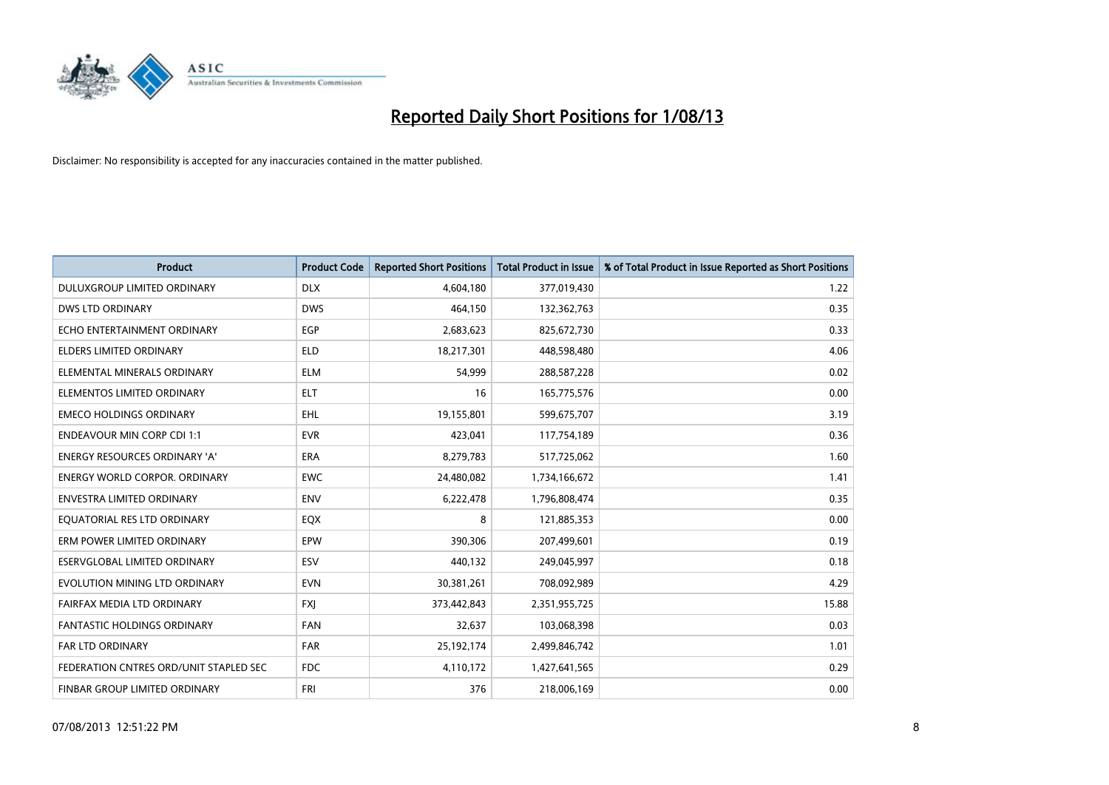

| <b>Product</b>                         | <b>Product Code</b> | <b>Reported Short Positions</b> | <b>Total Product in Issue</b> | % of Total Product in Issue Reported as Short Positions |
|----------------------------------------|---------------------|---------------------------------|-------------------------------|---------------------------------------------------------|
| DULUXGROUP LIMITED ORDINARY            | <b>DLX</b>          | 4,604,180                       | 377,019,430                   | 1.22                                                    |
| DWS LTD ORDINARY                       | <b>DWS</b>          | 464,150                         | 132,362,763                   | 0.35                                                    |
| ECHO ENTERTAINMENT ORDINARY            | <b>EGP</b>          | 2,683,623                       | 825,672,730                   | 0.33                                                    |
| <b>ELDERS LIMITED ORDINARY</b>         | <b>ELD</b>          | 18,217,301                      | 448,598,480                   | 4.06                                                    |
| ELEMENTAL MINERALS ORDINARY            | <b>ELM</b>          | 54,999                          | 288,587,228                   | 0.02                                                    |
| ELEMENTOS LIMITED ORDINARY             | <b>ELT</b>          | 16                              | 165,775,576                   | 0.00                                                    |
| <b>EMECO HOLDINGS ORDINARY</b>         | <b>EHL</b>          | 19,155,801                      | 599,675,707                   | 3.19                                                    |
| <b>ENDEAVOUR MIN CORP CDI 1:1</b>      | <b>EVR</b>          | 423,041                         | 117,754,189                   | 0.36                                                    |
| <b>ENERGY RESOURCES ORDINARY 'A'</b>   | <b>ERA</b>          | 8,279,783                       | 517,725,062                   | 1.60                                                    |
| <b>ENERGY WORLD CORPOR, ORDINARY</b>   | <b>EWC</b>          | 24,480,082                      | 1,734,166,672                 | 1.41                                                    |
| ENVESTRA LIMITED ORDINARY              | <b>ENV</b>          | 6,222,478                       | 1,796,808,474                 | 0.35                                                    |
| EQUATORIAL RES LTD ORDINARY            | EQX                 | 8                               | 121,885,353                   | 0.00                                                    |
| ERM POWER LIMITED ORDINARY             | <b>EPW</b>          | 390,306                         | 207,499,601                   | 0.19                                                    |
| ESERVGLOBAL LIMITED ORDINARY           | ESV                 | 440,132                         | 249,045,997                   | 0.18                                                    |
| EVOLUTION MINING LTD ORDINARY          | <b>EVN</b>          | 30,381,261                      | 708,092,989                   | 4.29                                                    |
| FAIRFAX MEDIA LTD ORDINARY             | <b>FXJ</b>          | 373,442,843                     | 2,351,955,725                 | 15.88                                                   |
| FANTASTIC HOLDINGS ORDINARY            | FAN                 | 32,637                          | 103,068,398                   | 0.03                                                    |
| <b>FAR LTD ORDINARY</b>                | <b>FAR</b>          | 25,192,174                      | 2,499,846,742                 | 1.01                                                    |
| FEDERATION CNTRES ORD/UNIT STAPLED SEC | FDC                 | 4,110,172                       | 1,427,641,565                 | 0.29                                                    |
| FINBAR GROUP LIMITED ORDINARY          | <b>FRI</b>          | 376                             | 218,006,169                   | 0.00                                                    |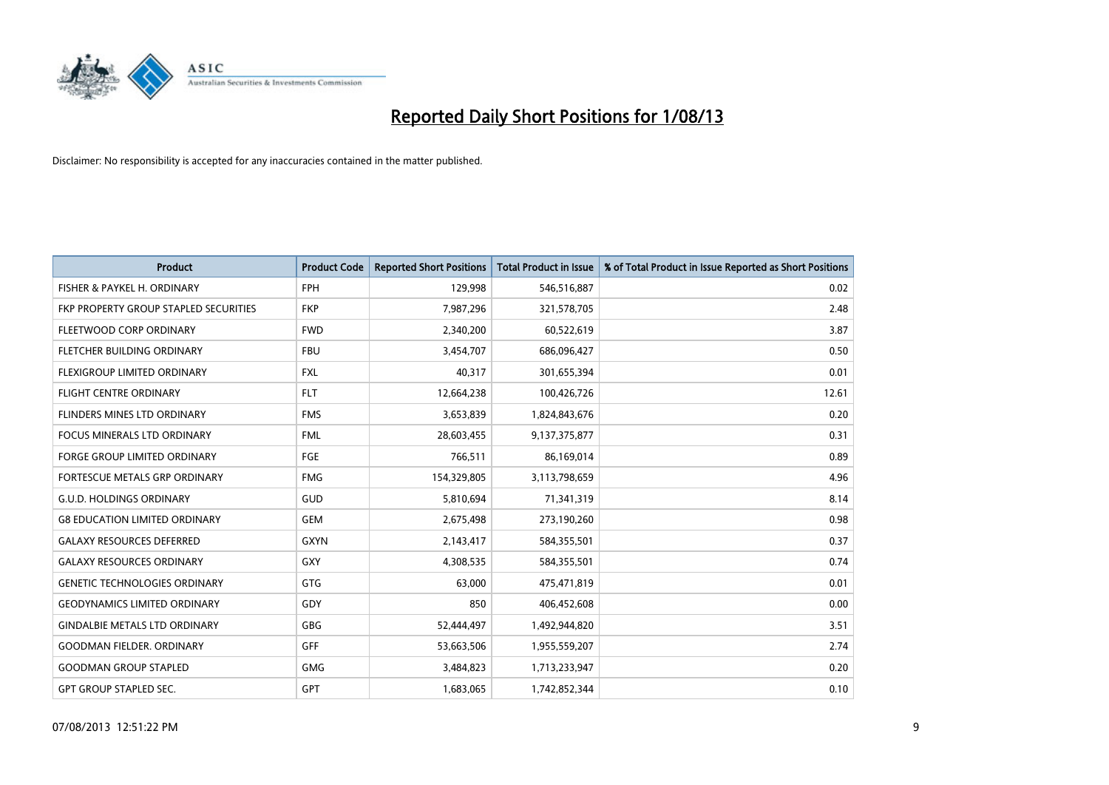

| <b>Product</b>                        | <b>Product Code</b> | <b>Reported Short Positions</b> | <b>Total Product in Issue</b> | % of Total Product in Issue Reported as Short Positions |
|---------------------------------------|---------------------|---------------------------------|-------------------------------|---------------------------------------------------------|
| FISHER & PAYKEL H. ORDINARY           | <b>FPH</b>          | 129,998                         | 546,516,887                   | 0.02                                                    |
| FKP PROPERTY GROUP STAPLED SECURITIES | <b>FKP</b>          | 7,987,296                       | 321,578,705                   | 2.48                                                    |
| FLEETWOOD CORP ORDINARY               | <b>FWD</b>          | 2,340,200                       | 60,522,619                    | 3.87                                                    |
| FLETCHER BUILDING ORDINARY            | <b>FBU</b>          | 3,454,707                       | 686,096,427                   | 0.50                                                    |
| FLEXIGROUP LIMITED ORDINARY           | <b>FXL</b>          | 40,317                          | 301,655,394                   | 0.01                                                    |
| <b>FLIGHT CENTRE ORDINARY</b>         | <b>FLT</b>          | 12,664,238                      | 100,426,726                   | 12.61                                                   |
| <b>FLINDERS MINES LTD ORDINARY</b>    | <b>FMS</b>          | 3,653,839                       | 1,824,843,676                 | 0.20                                                    |
| FOCUS MINERALS LTD ORDINARY           | <b>FML</b>          | 28,603,455                      | 9,137,375,877                 | 0.31                                                    |
| FORGE GROUP LIMITED ORDINARY          | FGE                 | 766,511                         | 86,169,014                    | 0.89                                                    |
| FORTESCUE METALS GRP ORDINARY         | <b>FMG</b>          | 154,329,805                     | 3,113,798,659                 | 4.96                                                    |
| <b>G.U.D. HOLDINGS ORDINARY</b>       | GUD                 | 5,810,694                       | 71,341,319                    | 8.14                                                    |
| <b>G8 EDUCATION LIMITED ORDINARY</b>  | <b>GEM</b>          | 2,675,498                       | 273,190,260                   | 0.98                                                    |
| <b>GALAXY RESOURCES DEFERRED</b>      | <b>GXYN</b>         | 2,143,417                       | 584,355,501                   | 0.37                                                    |
| <b>GALAXY RESOURCES ORDINARY</b>      | GXY                 | 4,308,535                       | 584,355,501                   | 0.74                                                    |
| <b>GENETIC TECHNOLOGIES ORDINARY</b>  | GTG                 | 63,000                          | 475,471,819                   | 0.01                                                    |
| <b>GEODYNAMICS LIMITED ORDINARY</b>   | GDY                 | 850                             | 406,452,608                   | 0.00                                                    |
| <b>GINDALBIE METALS LTD ORDINARY</b>  | GBG                 | 52,444,497                      | 1,492,944,820                 | 3.51                                                    |
| <b>GOODMAN FIELDER. ORDINARY</b>      | <b>GFF</b>          | 53,663,506                      | 1,955,559,207                 | 2.74                                                    |
| <b>GOODMAN GROUP STAPLED</b>          | <b>GMG</b>          | 3,484,823                       | 1,713,233,947                 | 0.20                                                    |
| <b>GPT GROUP STAPLED SEC.</b>         | <b>GPT</b>          | 1,683,065                       | 1,742,852,344                 | 0.10                                                    |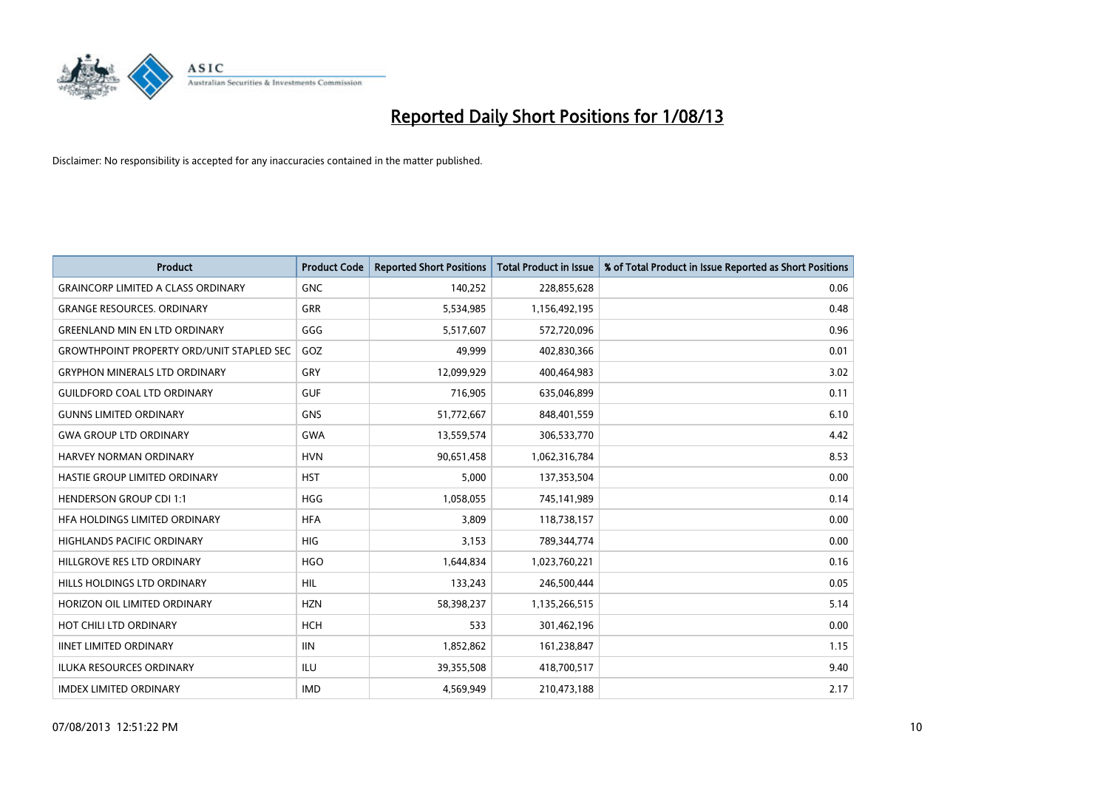

| <b>Product</b>                                   | <b>Product Code</b> | <b>Reported Short Positions</b> | <b>Total Product in Issue</b> | % of Total Product in Issue Reported as Short Positions |
|--------------------------------------------------|---------------------|---------------------------------|-------------------------------|---------------------------------------------------------|
| <b>GRAINCORP LIMITED A CLASS ORDINARY</b>        | <b>GNC</b>          | 140,252                         | 228,855,628                   | 0.06                                                    |
| <b>GRANGE RESOURCES. ORDINARY</b>                | GRR                 | 5,534,985                       | 1,156,492,195                 | 0.48                                                    |
| <b>GREENLAND MIN EN LTD ORDINARY</b>             | GGG                 | 5,517,607                       | 572,720,096                   | 0.96                                                    |
| <b>GROWTHPOINT PROPERTY ORD/UNIT STAPLED SEC</b> | GOZ                 | 49,999                          | 402,830,366                   | 0.01                                                    |
| <b>GRYPHON MINERALS LTD ORDINARY</b>             | GRY                 | 12,099,929                      | 400,464,983                   | 3.02                                                    |
| <b>GUILDFORD COAL LTD ORDINARY</b>               | <b>GUF</b>          | 716,905                         | 635,046,899                   | 0.11                                                    |
| <b>GUNNS LIMITED ORDINARY</b>                    | GNS                 | 51,772,667                      | 848,401,559                   | 6.10                                                    |
| <b>GWA GROUP LTD ORDINARY</b>                    | <b>GWA</b>          | 13,559,574                      | 306,533,770                   | 4.42                                                    |
| <b>HARVEY NORMAN ORDINARY</b>                    | <b>HVN</b>          | 90,651,458                      | 1,062,316,784                 | 8.53                                                    |
| HASTIE GROUP LIMITED ORDINARY                    | <b>HST</b>          | 5,000                           | 137,353,504                   | 0.00                                                    |
| <b>HENDERSON GROUP CDI 1:1</b>                   | <b>HGG</b>          | 1,058,055                       | 745,141,989                   | 0.14                                                    |
| HFA HOLDINGS LIMITED ORDINARY                    | <b>HFA</b>          | 3,809                           | 118,738,157                   | 0.00                                                    |
| <b>HIGHLANDS PACIFIC ORDINARY</b>                | <b>HIG</b>          | 3,153                           | 789,344,774                   | 0.00                                                    |
| HILLGROVE RES LTD ORDINARY                       | <b>HGO</b>          | 1,644,834                       | 1,023,760,221                 | 0.16                                                    |
| HILLS HOLDINGS LTD ORDINARY                      | <b>HIL</b>          | 133,243                         | 246,500,444                   | 0.05                                                    |
| HORIZON OIL LIMITED ORDINARY                     | <b>HZN</b>          | 58,398,237                      | 1,135,266,515                 | 5.14                                                    |
| HOT CHILI LTD ORDINARY                           | <b>HCH</b>          | 533                             | 301,462,196                   | 0.00                                                    |
| <b>IINET LIMITED ORDINARY</b>                    | <b>IIN</b>          | 1,852,862                       | 161,238,847                   | 1.15                                                    |
| <b>ILUKA RESOURCES ORDINARY</b>                  | ILU                 | 39,355,508                      | 418,700,517                   | 9.40                                                    |
| <b>IMDEX LIMITED ORDINARY</b>                    | <b>IMD</b>          | 4,569,949                       | 210,473,188                   | 2.17                                                    |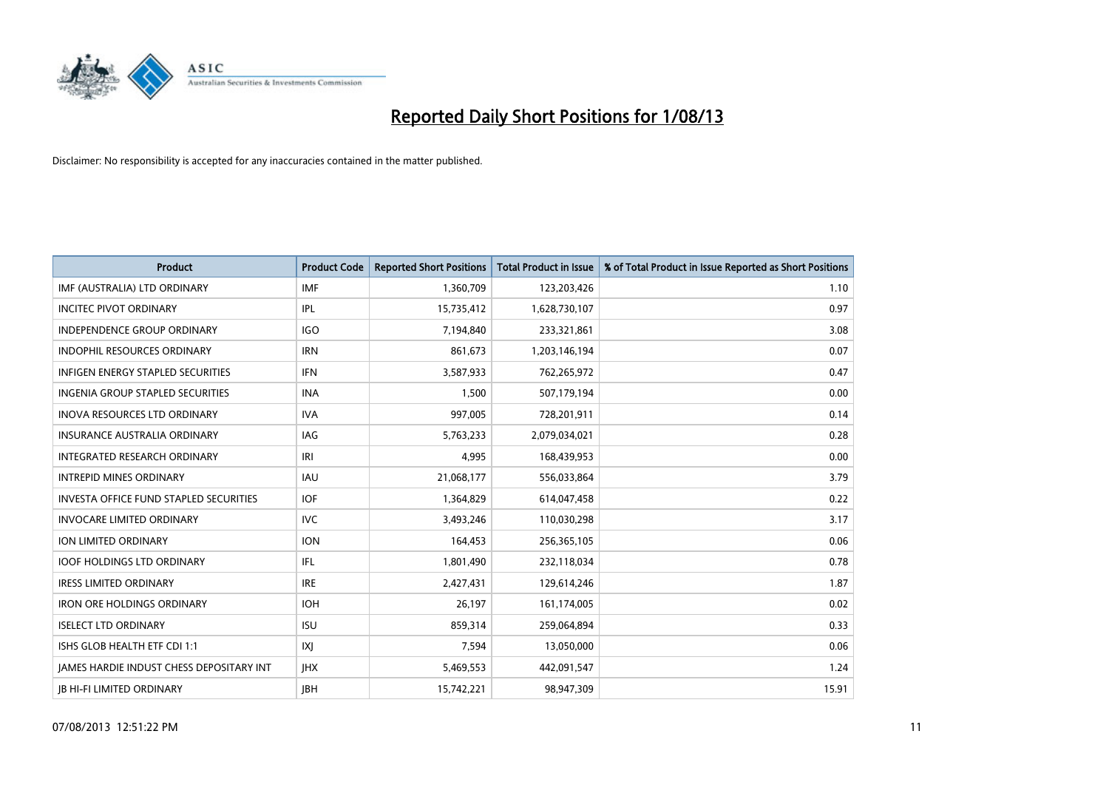

| <b>Product</b>                           | <b>Product Code</b> | <b>Reported Short Positions</b> | <b>Total Product in Issue</b> | % of Total Product in Issue Reported as Short Positions |
|------------------------------------------|---------------------|---------------------------------|-------------------------------|---------------------------------------------------------|
| IMF (AUSTRALIA) LTD ORDINARY             | <b>IMF</b>          | 1,360,709                       | 123,203,426                   | 1.10                                                    |
| <b>INCITEC PIVOT ORDINARY</b>            | IPL                 | 15,735,412                      | 1,628,730,107                 | 0.97                                                    |
| <b>INDEPENDENCE GROUP ORDINARY</b>       | <b>IGO</b>          | 7,194,840                       | 233,321,861                   | 3.08                                                    |
| INDOPHIL RESOURCES ORDINARY              | <b>IRN</b>          | 861,673                         | 1,203,146,194                 | 0.07                                                    |
| <b>INFIGEN ENERGY STAPLED SECURITIES</b> | <b>IFN</b>          | 3,587,933                       | 762,265,972                   | 0.47                                                    |
| <b>INGENIA GROUP STAPLED SECURITIES</b>  | <b>INA</b>          | 1,500                           | 507,179,194                   | 0.00                                                    |
| INOVA RESOURCES LTD ORDINARY             | <b>IVA</b>          | 997,005                         | 728,201,911                   | 0.14                                                    |
| INSURANCE AUSTRALIA ORDINARY             | IAG                 | 5,763,233                       | 2,079,034,021                 | 0.28                                                    |
| INTEGRATED RESEARCH ORDINARY             | IRI                 | 4.995                           | 168,439,953                   | 0.00                                                    |
| <b>INTREPID MINES ORDINARY</b>           | <b>IAU</b>          | 21,068,177                      | 556,033,864                   | 3.79                                                    |
| INVESTA OFFICE FUND STAPLED SECURITIES   | <b>IOF</b>          | 1,364,829                       | 614,047,458                   | 0.22                                                    |
| <b>INVOCARE LIMITED ORDINARY</b>         | <b>IVC</b>          | 3,493,246                       | 110,030,298                   | 3.17                                                    |
| <b>ION LIMITED ORDINARY</b>              | <b>ION</b>          | 164,453                         | 256,365,105                   | 0.06                                                    |
| <b>IOOF HOLDINGS LTD ORDINARY</b>        | IFL                 | 1,801,490                       | 232,118,034                   | 0.78                                                    |
| <b>IRESS LIMITED ORDINARY</b>            | <b>IRE</b>          | 2,427,431                       | 129,614,246                   | 1.87                                                    |
| <b>IRON ORE HOLDINGS ORDINARY</b>        | <b>IOH</b>          | 26,197                          | 161,174,005                   | 0.02                                                    |
| <b>ISELECT LTD ORDINARY</b>              | <b>ISU</b>          | 859,314                         | 259,064,894                   | 0.33                                                    |
| ISHS GLOB HEALTH ETF CDI 1:1             | IXJ                 | 7,594                           | 13,050,000                    | 0.06                                                    |
| JAMES HARDIE INDUST CHESS DEPOSITARY INT | <b>IHX</b>          | 5,469,553                       | 442,091,547                   | 1.24                                                    |
| <b>JB HI-FI LIMITED ORDINARY</b>         | <b>JBH</b>          | 15,742,221                      | 98,947,309                    | 15.91                                                   |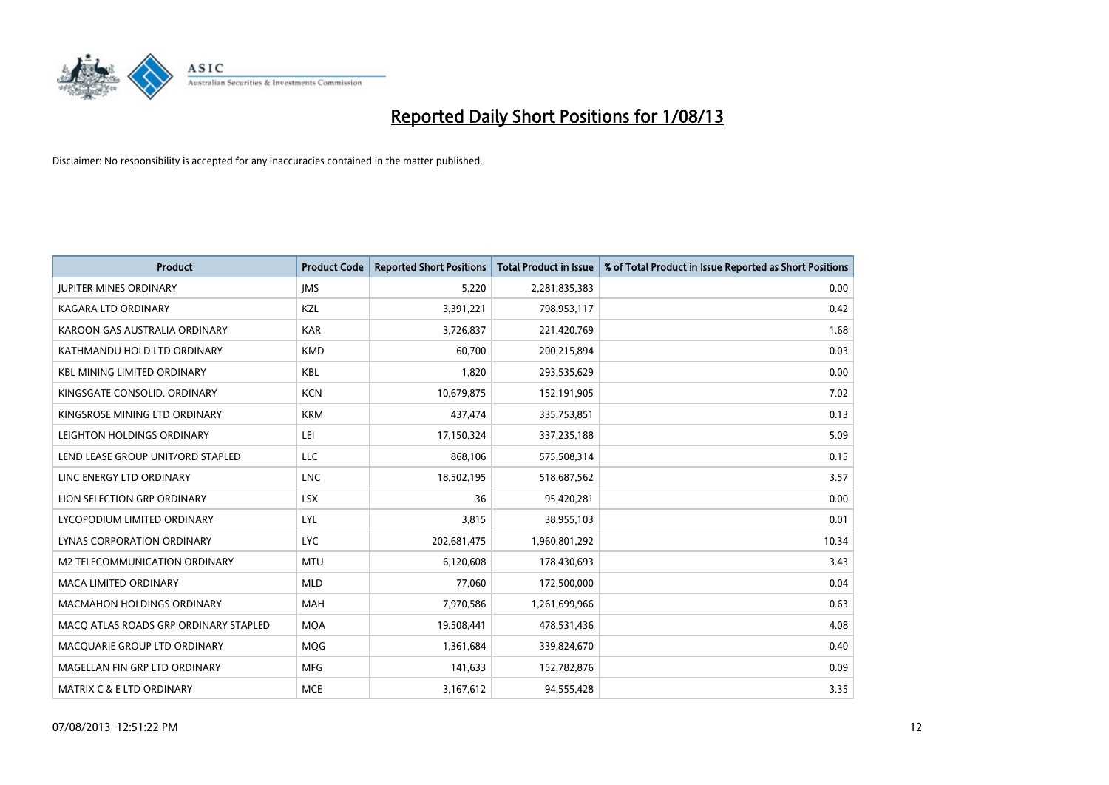

| <b>Product</b>                        | <b>Product Code</b> | <b>Reported Short Positions</b> | <b>Total Product in Issue</b> | % of Total Product in Issue Reported as Short Positions |
|---------------------------------------|---------------------|---------------------------------|-------------------------------|---------------------------------------------------------|
| <b>JUPITER MINES ORDINARY</b>         | <b>IMS</b>          | 5,220                           | 2,281,835,383                 | 0.00                                                    |
| KAGARA LTD ORDINARY                   | KZL                 | 3,391,221                       | 798,953,117                   | 0.42                                                    |
| KAROON GAS AUSTRALIA ORDINARY         | <b>KAR</b>          | 3,726,837                       | 221,420,769                   | 1.68                                                    |
| KATHMANDU HOLD LTD ORDINARY           | <b>KMD</b>          | 60,700                          | 200,215,894                   | 0.03                                                    |
| <b>KBL MINING LIMITED ORDINARY</b>    | <b>KBL</b>          | 1,820                           | 293,535,629                   | 0.00                                                    |
| KINGSGATE CONSOLID, ORDINARY          | <b>KCN</b>          | 10,679,875                      | 152,191,905                   | 7.02                                                    |
| KINGSROSE MINING LTD ORDINARY         | <b>KRM</b>          | 437,474                         | 335,753,851                   | 0.13                                                    |
| LEIGHTON HOLDINGS ORDINARY            | LEI                 | 17,150,324                      | 337,235,188                   | 5.09                                                    |
| LEND LEASE GROUP UNIT/ORD STAPLED     | LLC                 | 868,106                         | 575,508,314                   | 0.15                                                    |
| LINC ENERGY LTD ORDINARY              | <b>LNC</b>          | 18,502,195                      | 518,687,562                   | 3.57                                                    |
| LION SELECTION GRP ORDINARY           | <b>LSX</b>          | 36                              | 95,420,281                    | 0.00                                                    |
| LYCOPODIUM LIMITED ORDINARY           | LYL                 | 3,815                           | 38,955,103                    | 0.01                                                    |
| LYNAS CORPORATION ORDINARY            | <b>LYC</b>          | 202,681,475                     | 1,960,801,292                 | 10.34                                                   |
| <b>M2 TELECOMMUNICATION ORDINARY</b>  | <b>MTU</b>          | 6,120,608                       | 178,430,693                   | 3.43                                                    |
| <b>MACA LIMITED ORDINARY</b>          | <b>MLD</b>          | 77,060                          | 172,500,000                   | 0.04                                                    |
| <b>MACMAHON HOLDINGS ORDINARY</b>     | <b>MAH</b>          | 7,970,586                       | 1,261,699,966                 | 0.63                                                    |
| MACO ATLAS ROADS GRP ORDINARY STAPLED | <b>MQA</b>          | 19,508,441                      | 478,531,436                   | 4.08                                                    |
| MACQUARIE GROUP LTD ORDINARY          | <b>MQG</b>          | 1,361,684                       | 339,824,670                   | 0.40                                                    |
| MAGELLAN FIN GRP LTD ORDINARY         | <b>MFG</b>          | 141,633                         | 152,782,876                   | 0.09                                                    |
| <b>MATRIX C &amp; E LTD ORDINARY</b>  | <b>MCE</b>          | 3,167,612                       | 94,555,428                    | 3.35                                                    |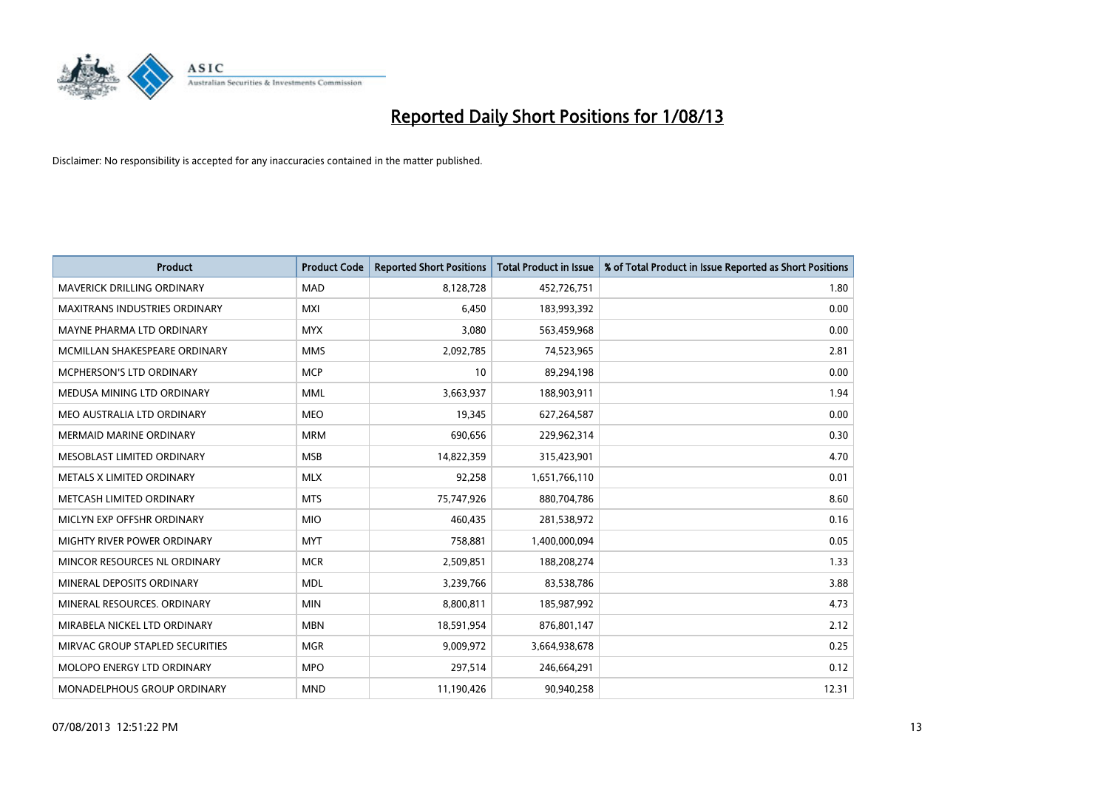

| <b>Product</b>                    | <b>Product Code</b> | <b>Reported Short Positions</b> | <b>Total Product in Issue</b> | % of Total Product in Issue Reported as Short Positions |
|-----------------------------------|---------------------|---------------------------------|-------------------------------|---------------------------------------------------------|
| <b>MAVERICK DRILLING ORDINARY</b> | <b>MAD</b>          | 8,128,728                       | 452,726,751                   | 1.80                                                    |
| MAXITRANS INDUSTRIES ORDINARY     | <b>MXI</b>          | 6,450                           | 183,993,392                   | 0.00                                                    |
| MAYNE PHARMA LTD ORDINARY         | <b>MYX</b>          | 3,080                           | 563,459,968                   | 0.00                                                    |
| MCMILLAN SHAKESPEARE ORDINARY     | <b>MMS</b>          | 2,092,785                       | 74,523,965                    | 2.81                                                    |
| <b>MCPHERSON'S LTD ORDINARY</b>   | <b>MCP</b>          | 10                              | 89,294,198                    | 0.00                                                    |
| MEDUSA MINING LTD ORDINARY        | <b>MML</b>          | 3,663,937                       | 188,903,911                   | 1.94                                                    |
| MEO AUSTRALIA LTD ORDINARY        | <b>MEO</b>          | 19,345                          | 627,264,587                   | 0.00                                                    |
| <b>MERMAID MARINE ORDINARY</b>    | <b>MRM</b>          | 690,656                         | 229,962,314                   | 0.30                                                    |
| MESOBLAST LIMITED ORDINARY        | <b>MSB</b>          | 14,822,359                      | 315,423,901                   | 4.70                                                    |
| METALS X LIMITED ORDINARY         | <b>MLX</b>          | 92,258                          | 1,651,766,110                 | 0.01                                                    |
| METCASH LIMITED ORDINARY          | <b>MTS</b>          | 75,747,926                      | 880,704,786                   | 8.60                                                    |
| MICLYN EXP OFFSHR ORDINARY        | <b>MIO</b>          | 460,435                         | 281,538,972                   | 0.16                                                    |
| MIGHTY RIVER POWER ORDINARY       | <b>MYT</b>          | 758,881                         | 1,400,000,094                 | 0.05                                                    |
| MINCOR RESOURCES NL ORDINARY      | <b>MCR</b>          | 2,509,851                       | 188,208,274                   | 1.33                                                    |
| MINERAL DEPOSITS ORDINARY         | <b>MDL</b>          | 3,239,766                       | 83,538,786                    | 3.88                                                    |
| MINERAL RESOURCES. ORDINARY       | <b>MIN</b>          | 8,800,811                       | 185,987,992                   | 4.73                                                    |
| MIRABELA NICKEL LTD ORDINARY      | <b>MBN</b>          | 18,591,954                      | 876,801,147                   | 2.12                                                    |
| MIRVAC GROUP STAPLED SECURITIES   | <b>MGR</b>          | 9,009,972                       | 3,664,938,678                 | 0.25                                                    |
| MOLOPO ENERGY LTD ORDINARY        | <b>MPO</b>          | 297,514                         | 246,664,291                   | 0.12                                                    |
| MONADELPHOUS GROUP ORDINARY       | <b>MND</b>          | 11,190,426                      | 90,940,258                    | 12.31                                                   |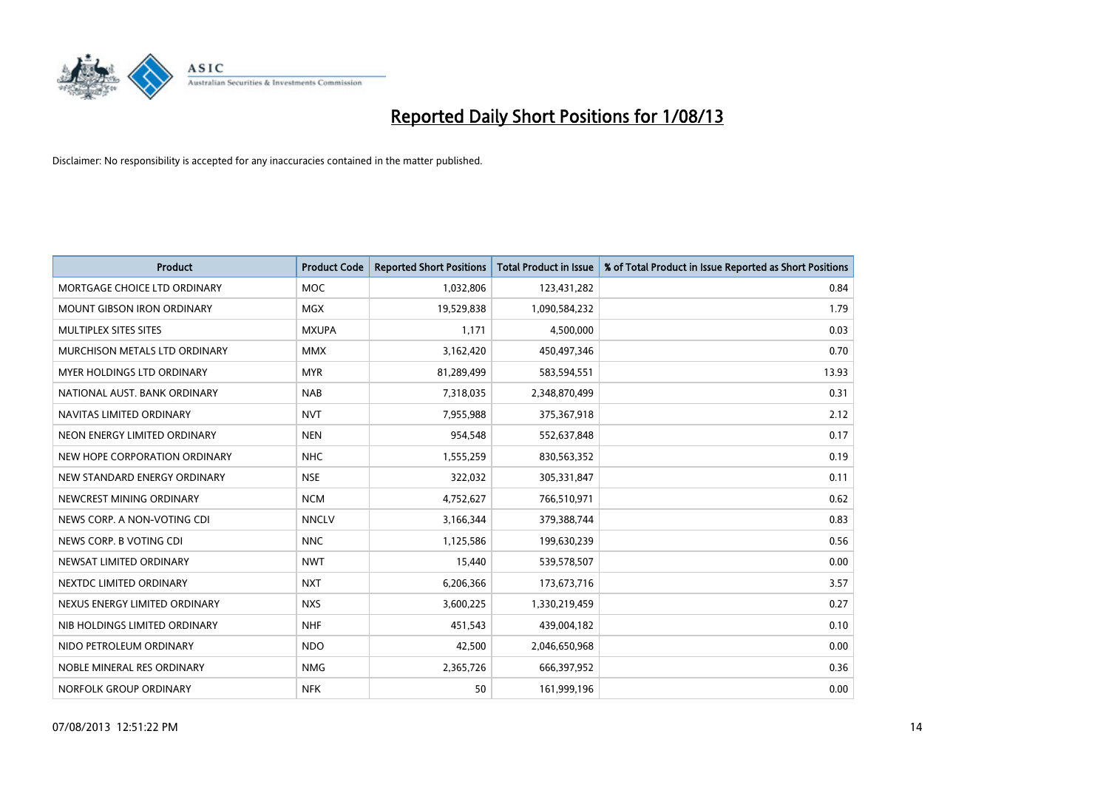

| <b>Product</b>                    | <b>Product Code</b> | <b>Reported Short Positions</b> | <b>Total Product in Issue</b> | % of Total Product in Issue Reported as Short Positions |
|-----------------------------------|---------------------|---------------------------------|-------------------------------|---------------------------------------------------------|
| MORTGAGE CHOICE LTD ORDINARY      | MOC                 | 1,032,806                       | 123,431,282                   | 0.84                                                    |
| <b>MOUNT GIBSON IRON ORDINARY</b> | <b>MGX</b>          | 19,529,838                      | 1,090,584,232                 | 1.79                                                    |
| MULTIPLEX SITES SITES             | <b>MXUPA</b>        | 1,171                           | 4,500,000                     | 0.03                                                    |
| MURCHISON METALS LTD ORDINARY     | <b>MMX</b>          | 3,162,420                       | 450,497,346                   | 0.70                                                    |
| <b>MYER HOLDINGS LTD ORDINARY</b> | <b>MYR</b>          | 81,289,499                      | 583,594,551                   | 13.93                                                   |
| NATIONAL AUST, BANK ORDINARY      | <b>NAB</b>          | 7,318,035                       | 2,348,870,499                 | 0.31                                                    |
| NAVITAS LIMITED ORDINARY          | <b>NVT</b>          | 7,955,988                       | 375,367,918                   | 2.12                                                    |
| NEON ENERGY LIMITED ORDINARY      | <b>NEN</b>          | 954,548                         | 552,637,848                   | 0.17                                                    |
| NEW HOPE CORPORATION ORDINARY     | <b>NHC</b>          | 1,555,259                       | 830,563,352                   | 0.19                                                    |
| NEW STANDARD ENERGY ORDINARY      | <b>NSE</b>          | 322,032                         | 305,331,847                   | 0.11                                                    |
| NEWCREST MINING ORDINARY          | <b>NCM</b>          | 4,752,627                       | 766,510,971                   | 0.62                                                    |
| NEWS CORP. A NON-VOTING CDI       | <b>NNCLV</b>        | 3,166,344                       | 379,388,744                   | 0.83                                                    |
| NEWS CORP. B VOTING CDI           | <b>NNC</b>          | 1,125,586                       | 199,630,239                   | 0.56                                                    |
| NEWSAT LIMITED ORDINARY           | <b>NWT</b>          | 15,440                          | 539,578,507                   | 0.00                                                    |
| NEXTDC LIMITED ORDINARY           | <b>NXT</b>          | 6,206,366                       | 173,673,716                   | 3.57                                                    |
| NEXUS ENERGY LIMITED ORDINARY     | <b>NXS</b>          | 3,600,225                       | 1,330,219,459                 | 0.27                                                    |
| NIB HOLDINGS LIMITED ORDINARY     | <b>NHF</b>          | 451,543                         | 439,004,182                   | 0.10                                                    |
| NIDO PETROLEUM ORDINARY           | <b>NDO</b>          | 42,500                          | 2,046,650,968                 | 0.00                                                    |
| NOBLE MINERAL RES ORDINARY        | <b>NMG</b>          | 2,365,726                       | 666,397,952                   | 0.36                                                    |
| NORFOLK GROUP ORDINARY            | <b>NFK</b>          | 50                              | 161,999,196                   | 0.00                                                    |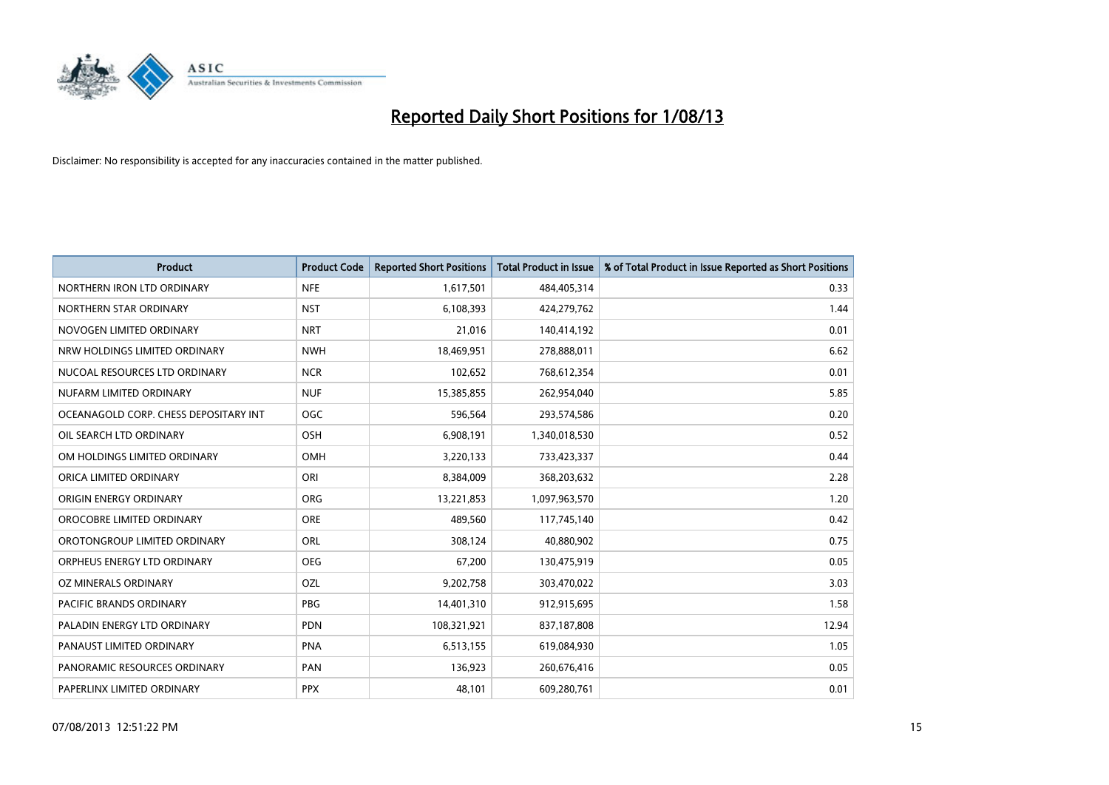

| <b>Product</b>                        | <b>Product Code</b> | <b>Reported Short Positions</b> | <b>Total Product in Issue</b> | % of Total Product in Issue Reported as Short Positions |
|---------------------------------------|---------------------|---------------------------------|-------------------------------|---------------------------------------------------------|
| NORTHERN IRON LTD ORDINARY            | <b>NFE</b>          | 1,617,501                       | 484,405,314                   | 0.33                                                    |
| NORTHERN STAR ORDINARY                | <b>NST</b>          | 6,108,393                       | 424,279,762                   | 1.44                                                    |
| NOVOGEN LIMITED ORDINARY              | <b>NRT</b>          | 21,016                          | 140,414,192                   | 0.01                                                    |
| NRW HOLDINGS LIMITED ORDINARY         | <b>NWH</b>          | 18,469,951                      | 278,888,011                   | 6.62                                                    |
| NUCOAL RESOURCES LTD ORDINARY         | <b>NCR</b>          | 102,652                         | 768,612,354                   | 0.01                                                    |
| NUFARM LIMITED ORDINARY               | <b>NUF</b>          | 15,385,855                      | 262,954,040                   | 5.85                                                    |
| OCEANAGOLD CORP. CHESS DEPOSITARY INT | <b>OGC</b>          | 596,564                         | 293,574,586                   | 0.20                                                    |
| OIL SEARCH LTD ORDINARY               | OSH                 | 6,908,191                       | 1,340,018,530                 | 0.52                                                    |
| OM HOLDINGS LIMITED ORDINARY          | OMH                 | 3,220,133                       | 733,423,337                   | 0.44                                                    |
| ORICA LIMITED ORDINARY                | ORI                 | 8,384,009                       | 368,203,632                   | 2.28                                                    |
| ORIGIN ENERGY ORDINARY                | <b>ORG</b>          | 13,221,853                      | 1,097,963,570                 | 1.20                                                    |
| OROCOBRE LIMITED ORDINARY             | <b>ORE</b>          | 489,560                         | 117,745,140                   | 0.42                                                    |
| OROTONGROUP LIMITED ORDINARY          | ORL                 | 308,124                         | 40,880,902                    | 0.75                                                    |
| ORPHEUS ENERGY LTD ORDINARY           | <b>OEG</b>          | 67,200                          | 130,475,919                   | 0.05                                                    |
| <b>OZ MINERALS ORDINARY</b>           | <b>OZL</b>          | 9,202,758                       | 303,470,022                   | 3.03                                                    |
| PACIFIC BRANDS ORDINARY               | <b>PBG</b>          | 14,401,310                      | 912,915,695                   | 1.58                                                    |
| PALADIN ENERGY LTD ORDINARY           | <b>PDN</b>          | 108,321,921                     | 837,187,808                   | 12.94                                                   |
| PANAUST LIMITED ORDINARY              | <b>PNA</b>          | 6,513,155                       | 619,084,930                   | 1.05                                                    |
| PANORAMIC RESOURCES ORDINARY          | PAN                 | 136,923                         | 260,676,416                   | 0.05                                                    |
| PAPERLINX LIMITED ORDINARY            | <b>PPX</b>          | 48,101                          | 609,280,761                   | 0.01                                                    |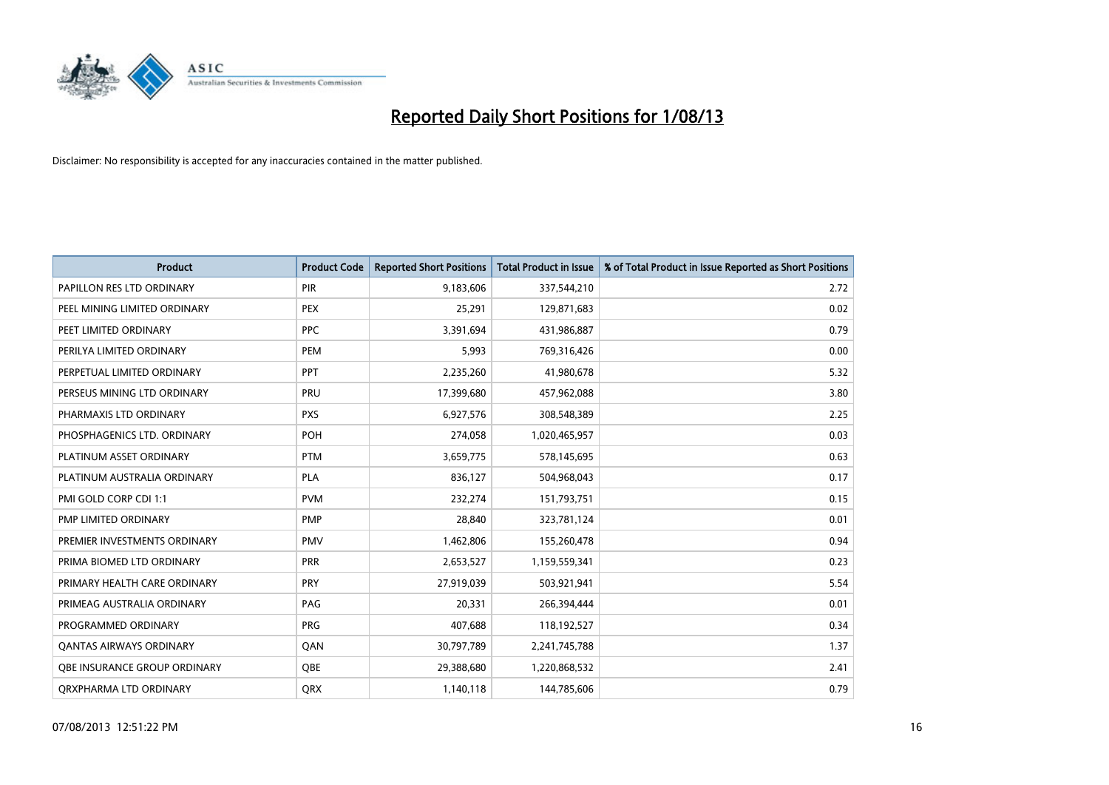

| <b>Product</b>                 | <b>Product Code</b> | <b>Reported Short Positions</b> | <b>Total Product in Issue</b> | % of Total Product in Issue Reported as Short Positions |
|--------------------------------|---------------------|---------------------------------|-------------------------------|---------------------------------------------------------|
| PAPILLON RES LTD ORDINARY      | PIR                 | 9,183,606                       | 337,544,210                   | 2.72                                                    |
| PEEL MINING LIMITED ORDINARY   | <b>PEX</b>          | 25,291                          | 129,871,683                   | 0.02                                                    |
| PEET LIMITED ORDINARY          | <b>PPC</b>          | 3,391,694                       | 431,986,887                   | 0.79                                                    |
| PERILYA LIMITED ORDINARY       | <b>PEM</b>          | 5,993                           | 769,316,426                   | 0.00                                                    |
| PERPETUAL LIMITED ORDINARY     | PPT                 | 2,235,260                       | 41,980,678                    | 5.32                                                    |
| PERSEUS MINING LTD ORDINARY    | PRU                 | 17,399,680                      | 457,962,088                   | 3.80                                                    |
| PHARMAXIS LTD ORDINARY         | <b>PXS</b>          | 6,927,576                       | 308,548,389                   | 2.25                                                    |
| PHOSPHAGENICS LTD. ORDINARY    | POH                 | 274,058                         | 1,020,465,957                 | 0.03                                                    |
| PLATINUM ASSET ORDINARY        | <b>PTM</b>          | 3,659,775                       | 578,145,695                   | 0.63                                                    |
| PLATINUM AUSTRALIA ORDINARY    | <b>PLA</b>          | 836,127                         | 504,968,043                   | 0.17                                                    |
| PMI GOLD CORP CDI 1:1          | <b>PVM</b>          | 232,274                         | 151,793,751                   | 0.15                                                    |
| PMP LIMITED ORDINARY           | <b>PMP</b>          | 28,840                          | 323,781,124                   | 0.01                                                    |
| PREMIER INVESTMENTS ORDINARY   | <b>PMV</b>          | 1,462,806                       | 155,260,478                   | 0.94                                                    |
| PRIMA BIOMED LTD ORDINARY      | <b>PRR</b>          | 2,653,527                       | 1,159,559,341                 | 0.23                                                    |
| PRIMARY HEALTH CARE ORDINARY   | <b>PRY</b>          | 27,919,039                      | 503,921,941                   | 5.54                                                    |
| PRIMEAG AUSTRALIA ORDINARY     | PAG                 | 20,331                          | 266,394,444                   | 0.01                                                    |
| PROGRAMMED ORDINARY            | <b>PRG</b>          | 407,688                         | 118,192,527                   | 0.34                                                    |
| <b>QANTAS AIRWAYS ORDINARY</b> | QAN                 | 30,797,789                      | 2,241,745,788                 | 1.37                                                    |
| OBE INSURANCE GROUP ORDINARY   | OBE                 | 29,388,680                      | 1,220,868,532                 | 2.41                                                    |
| ORXPHARMA LTD ORDINARY         | <b>ORX</b>          | 1,140,118                       | 144,785,606                   | 0.79                                                    |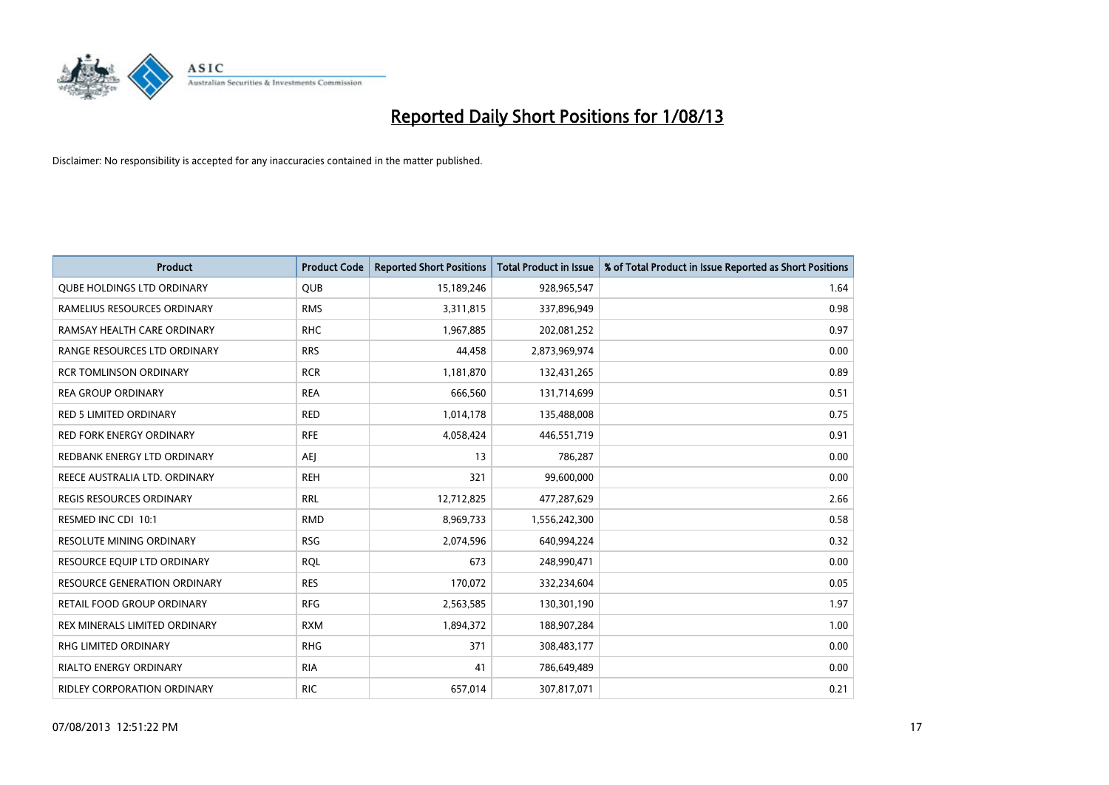

| <b>Product</b>                      | <b>Product Code</b> | <b>Reported Short Positions</b> | <b>Total Product in Issue</b> | % of Total Product in Issue Reported as Short Positions |
|-------------------------------------|---------------------|---------------------------------|-------------------------------|---------------------------------------------------------|
| <b>QUBE HOLDINGS LTD ORDINARY</b>   | <b>QUB</b>          | 15,189,246                      | 928,965,547                   | 1.64                                                    |
| RAMELIUS RESOURCES ORDINARY         | <b>RMS</b>          | 3,311,815                       | 337,896,949                   | 0.98                                                    |
| RAMSAY HEALTH CARE ORDINARY         | <b>RHC</b>          | 1,967,885                       | 202,081,252                   | 0.97                                                    |
| RANGE RESOURCES LTD ORDINARY        | <b>RRS</b>          | 44,458                          | 2,873,969,974                 | 0.00                                                    |
| <b>RCR TOMLINSON ORDINARY</b>       | <b>RCR</b>          | 1,181,870                       | 132,431,265                   | 0.89                                                    |
| <b>REA GROUP ORDINARY</b>           | <b>REA</b>          | 666,560                         | 131,714,699                   | 0.51                                                    |
| <b>RED 5 LIMITED ORDINARY</b>       | <b>RED</b>          | 1,014,178                       | 135,488,008                   | 0.75                                                    |
| RED FORK ENERGY ORDINARY            | <b>RFE</b>          | 4,058,424                       | 446,551,719                   | 0.91                                                    |
| REDBANK ENERGY LTD ORDINARY         | AEJ                 | 13                              | 786,287                       | 0.00                                                    |
| REECE AUSTRALIA LTD. ORDINARY       | <b>REH</b>          | 321                             | 99,600,000                    | 0.00                                                    |
| <b>REGIS RESOURCES ORDINARY</b>     | <b>RRL</b>          | 12,712,825                      | 477,287,629                   | 2.66                                                    |
| RESMED INC CDI 10:1                 | <b>RMD</b>          | 8,969,733                       | 1,556,242,300                 | 0.58                                                    |
| RESOLUTE MINING ORDINARY            | <b>RSG</b>          | 2,074,596                       | 640,994,224                   | 0.32                                                    |
| RESOURCE EQUIP LTD ORDINARY         | <b>RQL</b>          | 673                             | 248,990,471                   | 0.00                                                    |
| <b>RESOURCE GENERATION ORDINARY</b> | <b>RES</b>          | 170,072                         | 332,234,604                   | 0.05                                                    |
| RETAIL FOOD GROUP ORDINARY          | <b>RFG</b>          | 2,563,585                       | 130,301,190                   | 1.97                                                    |
| REX MINERALS LIMITED ORDINARY       | <b>RXM</b>          | 1,894,372                       | 188,907,284                   | 1.00                                                    |
| RHG LIMITED ORDINARY                | <b>RHG</b>          | 371                             | 308,483,177                   | 0.00                                                    |
| <b>RIALTO ENERGY ORDINARY</b>       | <b>RIA</b>          | 41                              | 786,649,489                   | 0.00                                                    |
| RIDLEY CORPORATION ORDINARY         | <b>RIC</b>          | 657,014                         | 307,817,071                   | 0.21                                                    |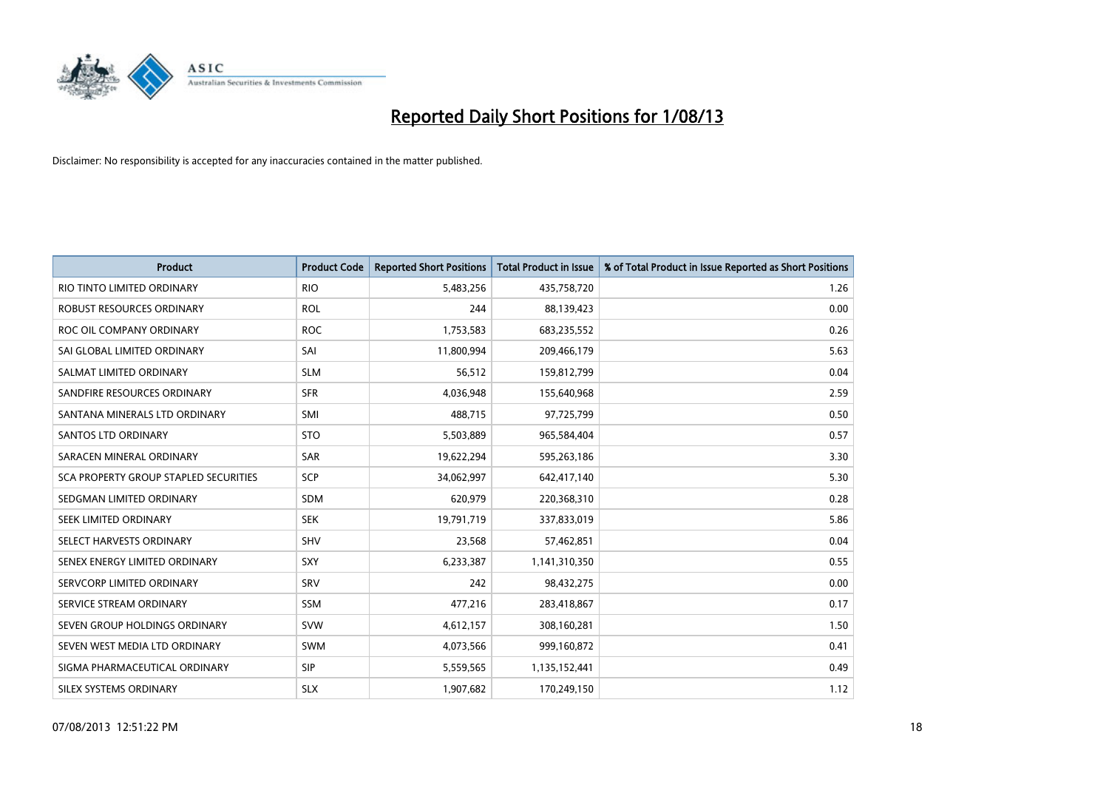

| <b>Product</b>                        | <b>Product Code</b> | <b>Reported Short Positions</b> | <b>Total Product in Issue</b> | % of Total Product in Issue Reported as Short Positions |
|---------------------------------------|---------------------|---------------------------------|-------------------------------|---------------------------------------------------------|
| RIO TINTO LIMITED ORDINARY            | <b>RIO</b>          | 5,483,256                       | 435,758,720                   | 1.26                                                    |
| ROBUST RESOURCES ORDINARY             | <b>ROL</b>          | 244                             | 88,139,423                    | 0.00                                                    |
| ROC OIL COMPANY ORDINARY              | <b>ROC</b>          | 1,753,583                       | 683,235,552                   | 0.26                                                    |
| SAI GLOBAL LIMITED ORDINARY           | SAI                 | 11,800,994                      | 209,466,179                   | 5.63                                                    |
| SALMAT LIMITED ORDINARY               | <b>SLM</b>          | 56,512                          | 159,812,799                   | 0.04                                                    |
| SANDFIRE RESOURCES ORDINARY           | <b>SFR</b>          | 4,036,948                       | 155,640,968                   | 2.59                                                    |
| SANTANA MINERALS LTD ORDINARY         | <b>SMI</b>          | 488,715                         | 97,725,799                    | 0.50                                                    |
| <b>SANTOS LTD ORDINARY</b>            | <b>STO</b>          | 5,503,889                       | 965,584,404                   | 0.57                                                    |
| SARACEN MINERAL ORDINARY              | <b>SAR</b>          | 19,622,294                      | 595,263,186                   | 3.30                                                    |
| SCA PROPERTY GROUP STAPLED SECURITIES | <b>SCP</b>          | 34,062,997                      | 642,417,140                   | 5.30                                                    |
| SEDGMAN LIMITED ORDINARY              | SDM                 | 620,979                         | 220,368,310                   | 0.28                                                    |
| SEEK LIMITED ORDINARY                 | <b>SEK</b>          | 19,791,719                      | 337,833,019                   | 5.86                                                    |
| SELECT HARVESTS ORDINARY              | <b>SHV</b>          | 23,568                          | 57,462,851                    | 0.04                                                    |
| SENEX ENERGY LIMITED ORDINARY         | SXY                 | 6,233,387                       | 1,141,310,350                 | 0.55                                                    |
| SERVCORP LIMITED ORDINARY             | SRV                 | 242                             | 98,432,275                    | 0.00                                                    |
| SERVICE STREAM ORDINARY               | SSM                 | 477,216                         | 283,418,867                   | 0.17                                                    |
| SEVEN GROUP HOLDINGS ORDINARY         | <b>SVW</b>          | 4,612,157                       | 308,160,281                   | 1.50                                                    |
| SEVEN WEST MEDIA LTD ORDINARY         | <b>SWM</b>          | 4,073,566                       | 999,160,872                   | 0.41                                                    |
| SIGMA PHARMACEUTICAL ORDINARY         | <b>SIP</b>          | 5,559,565                       | 1,135,152,441                 | 0.49                                                    |
| SILEX SYSTEMS ORDINARY                | <b>SLX</b>          | 1,907,682                       | 170,249,150                   | 1.12                                                    |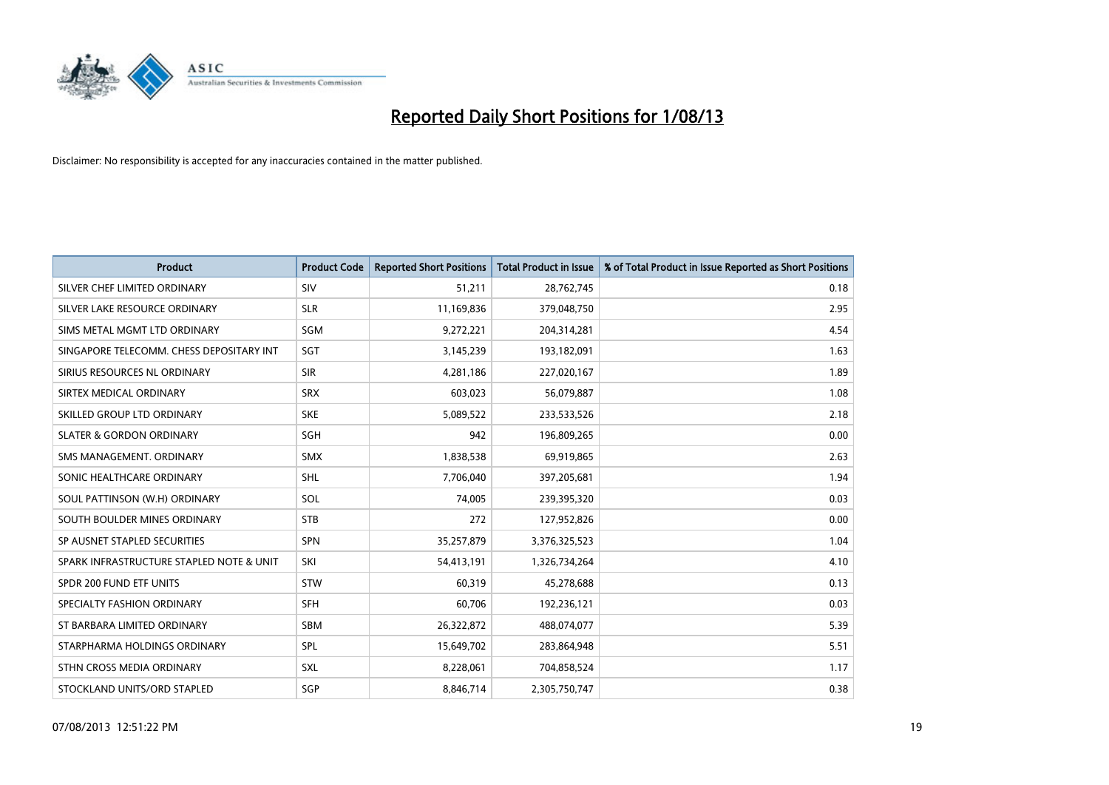

| <b>Product</b>                           | <b>Product Code</b> | <b>Reported Short Positions</b> | <b>Total Product in Issue</b> | % of Total Product in Issue Reported as Short Positions |
|------------------------------------------|---------------------|---------------------------------|-------------------------------|---------------------------------------------------------|
| SILVER CHEF LIMITED ORDINARY             | SIV                 | 51,211                          | 28,762,745                    | 0.18                                                    |
| SILVER LAKE RESOURCE ORDINARY            | <b>SLR</b>          | 11,169,836                      | 379,048,750                   | 2.95                                                    |
| SIMS METAL MGMT LTD ORDINARY             | SGM                 | 9,272,221                       | 204,314,281                   | 4.54                                                    |
| SINGAPORE TELECOMM. CHESS DEPOSITARY INT | SGT                 | 3,145,239                       | 193,182,091                   | 1.63                                                    |
| SIRIUS RESOURCES NL ORDINARY             | <b>SIR</b>          | 4,281,186                       | 227,020,167                   | 1.89                                                    |
| SIRTEX MEDICAL ORDINARY                  | <b>SRX</b>          | 603,023                         | 56,079,887                    | 1.08                                                    |
| SKILLED GROUP LTD ORDINARY               | <b>SKE</b>          | 5,089,522                       | 233,533,526                   | 2.18                                                    |
| <b>SLATER &amp; GORDON ORDINARY</b>      | <b>SGH</b>          | 942                             | 196,809,265                   | 0.00                                                    |
| SMS MANAGEMENT, ORDINARY                 | <b>SMX</b>          | 1,838,538                       | 69,919,865                    | 2.63                                                    |
| SONIC HEALTHCARE ORDINARY                | <b>SHL</b>          | 7,706,040                       | 397,205,681                   | 1.94                                                    |
| SOUL PATTINSON (W.H) ORDINARY            | SOL                 | 74,005                          | 239,395,320                   | 0.03                                                    |
| SOUTH BOULDER MINES ORDINARY             | <b>STB</b>          | 272                             | 127,952,826                   | 0.00                                                    |
| SP AUSNET STAPLED SECURITIES             | <b>SPN</b>          | 35,257,879                      | 3,376,325,523                 | 1.04                                                    |
| SPARK INFRASTRUCTURE STAPLED NOTE & UNIT | SKI                 | 54,413,191                      | 1,326,734,264                 | 4.10                                                    |
| SPDR 200 FUND ETF UNITS                  | <b>STW</b>          | 60,319                          | 45,278,688                    | 0.13                                                    |
| SPECIALTY FASHION ORDINARY               | <b>SFH</b>          | 60,706                          | 192,236,121                   | 0.03                                                    |
| ST BARBARA LIMITED ORDINARY              | <b>SBM</b>          | 26,322,872                      | 488,074,077                   | 5.39                                                    |
| STARPHARMA HOLDINGS ORDINARY             | <b>SPL</b>          | 15,649,702                      | 283,864,948                   | 5.51                                                    |
| STHN CROSS MEDIA ORDINARY                | <b>SXL</b>          | 8,228,061                       | 704,858,524                   | 1.17                                                    |
| STOCKLAND UNITS/ORD STAPLED              | SGP                 | 8,846,714                       | 2,305,750,747                 | 0.38                                                    |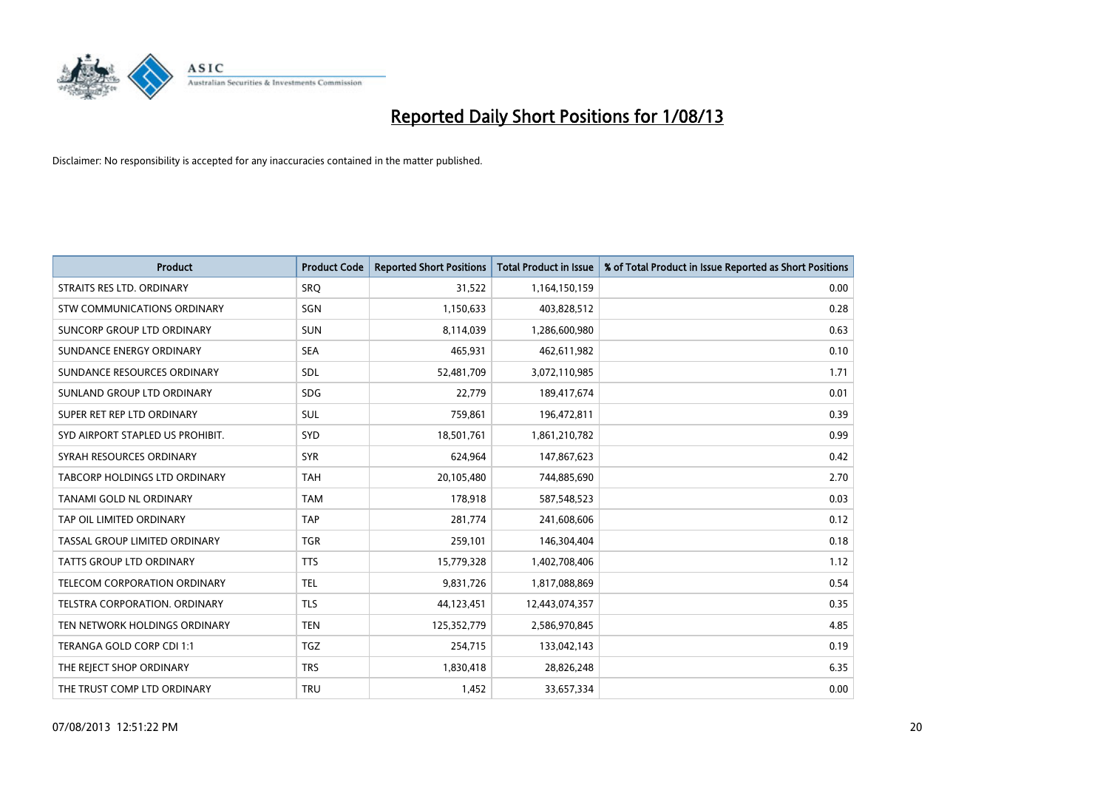

| <b>Product</b>                       | <b>Product Code</b> | <b>Reported Short Positions</b> | <b>Total Product in Issue</b> | % of Total Product in Issue Reported as Short Positions |
|--------------------------------------|---------------------|---------------------------------|-------------------------------|---------------------------------------------------------|
| STRAITS RES LTD. ORDINARY            | SRO                 | 31,522                          | 1,164,150,159                 | 0.00                                                    |
| STW COMMUNICATIONS ORDINARY          | SGN                 | 1,150,633                       | 403,828,512                   | 0.28                                                    |
| SUNCORP GROUP LTD ORDINARY           | <b>SUN</b>          | 8,114,039                       | 1,286,600,980                 | 0.63                                                    |
| SUNDANCE ENERGY ORDINARY             | <b>SEA</b>          | 465,931                         | 462,611,982                   | 0.10                                                    |
| SUNDANCE RESOURCES ORDINARY          | SDL                 | 52,481,709                      | 3,072,110,985                 | 1.71                                                    |
| SUNLAND GROUP LTD ORDINARY           | <b>SDG</b>          | 22,779                          | 189,417,674                   | 0.01                                                    |
| SUPER RET REP LTD ORDINARY           | SUL                 | 759,861                         | 196,472,811                   | 0.39                                                    |
| SYD AIRPORT STAPLED US PROHIBIT.     | <b>SYD</b>          | 18,501,761                      | 1,861,210,782                 | 0.99                                                    |
| SYRAH RESOURCES ORDINARY             | <b>SYR</b>          | 624,964                         | 147,867,623                   | 0.42                                                    |
| TABCORP HOLDINGS LTD ORDINARY        | <b>TAH</b>          | 20,105,480                      | 744,885,690                   | 2.70                                                    |
| TANAMI GOLD NL ORDINARY              | <b>TAM</b>          | 178,918                         | 587,548,523                   | 0.03                                                    |
| TAP OIL LIMITED ORDINARY             | <b>TAP</b>          | 281,774                         | 241,608,606                   | 0.12                                                    |
| TASSAL GROUP LIMITED ORDINARY        | <b>TGR</b>          | 259,101                         | 146,304,404                   | 0.18                                                    |
| <b>TATTS GROUP LTD ORDINARY</b>      | <b>TTS</b>          | 15,779,328                      | 1,402,708,406                 | 1.12                                                    |
| TELECOM CORPORATION ORDINARY         | <b>TEL</b>          | 9,831,726                       | 1,817,088,869                 | 0.54                                                    |
| <b>TELSTRA CORPORATION, ORDINARY</b> | <b>TLS</b>          | 44,123,451                      | 12,443,074,357                | 0.35                                                    |
| TEN NETWORK HOLDINGS ORDINARY        | <b>TEN</b>          | 125,352,779                     | 2,586,970,845                 | 4.85                                                    |
| TERANGA GOLD CORP CDI 1:1            | <b>TGZ</b>          | 254,715                         | 133,042,143                   | 0.19                                                    |
| THE REJECT SHOP ORDINARY             | <b>TRS</b>          | 1,830,418                       | 28,826,248                    | 6.35                                                    |
| THE TRUST COMP LTD ORDINARY          | <b>TRU</b>          | 1,452                           | 33,657,334                    | 0.00                                                    |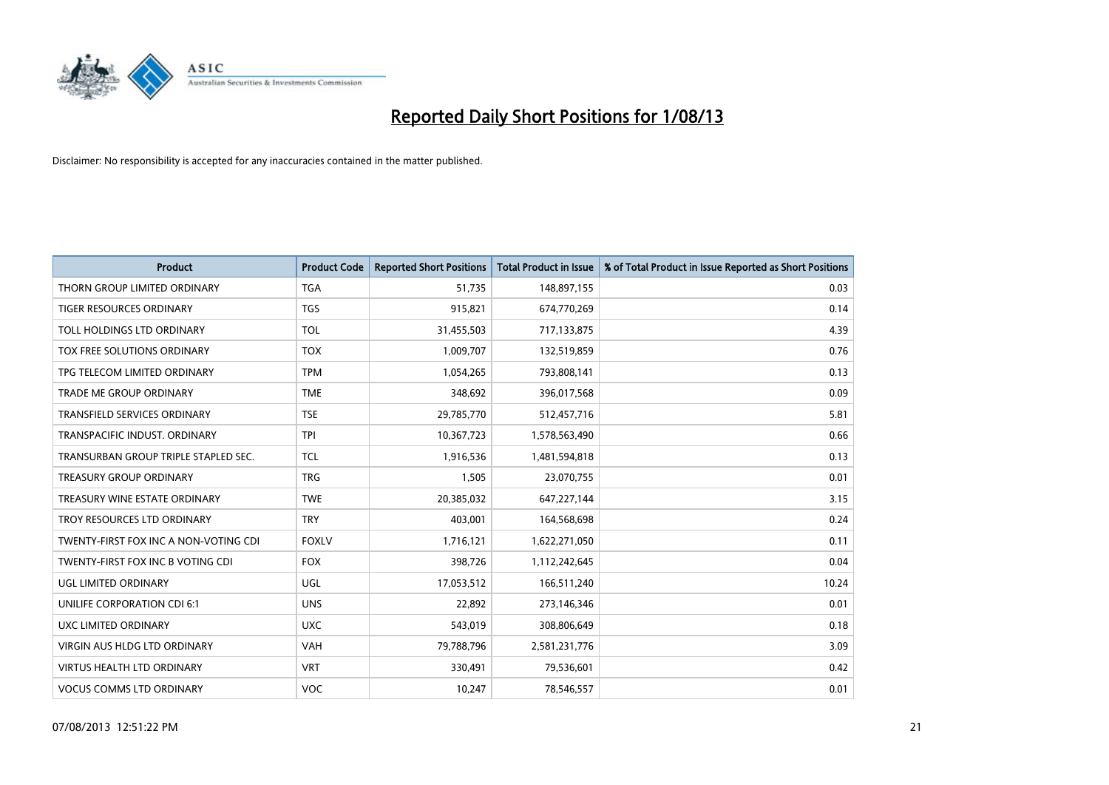

| <b>Product</b>                        | <b>Product Code</b> | <b>Reported Short Positions</b> | <b>Total Product in Issue</b> | % of Total Product in Issue Reported as Short Positions |
|---------------------------------------|---------------------|---------------------------------|-------------------------------|---------------------------------------------------------|
| THORN GROUP LIMITED ORDINARY          | <b>TGA</b>          | 51,735                          | 148,897,155                   | 0.03                                                    |
| TIGER RESOURCES ORDINARY              | <b>TGS</b>          | 915,821                         | 674,770,269                   | 0.14                                                    |
| TOLL HOLDINGS LTD ORDINARY            | <b>TOL</b>          | 31,455,503                      | 717,133,875                   | 4.39                                                    |
| TOX FREE SOLUTIONS ORDINARY           | <b>TOX</b>          | 1,009,707                       | 132,519,859                   | 0.76                                                    |
| TPG TELECOM LIMITED ORDINARY          | <b>TPM</b>          | 1,054,265                       | 793,808,141                   | 0.13                                                    |
| <b>TRADE ME GROUP ORDINARY</b>        | <b>TME</b>          | 348,692                         | 396,017,568                   | 0.09                                                    |
| <b>TRANSFIELD SERVICES ORDINARY</b>   | <b>TSE</b>          | 29,785,770                      | 512,457,716                   | 5.81                                                    |
| TRANSPACIFIC INDUST, ORDINARY         | <b>TPI</b>          | 10,367,723                      | 1,578,563,490                 | 0.66                                                    |
| TRANSURBAN GROUP TRIPLE STAPLED SEC.  | <b>TCL</b>          | 1,916,536                       | 1,481,594,818                 | 0.13                                                    |
| <b>TREASURY GROUP ORDINARY</b>        | <b>TRG</b>          | 1,505                           | 23,070,755                    | 0.01                                                    |
| TREASURY WINE ESTATE ORDINARY         | <b>TWE</b>          | 20,385,032                      | 647,227,144                   | 3.15                                                    |
| TROY RESOURCES LTD ORDINARY           | <b>TRY</b>          | 403,001                         | 164,568,698                   | 0.24                                                    |
| TWENTY-FIRST FOX INC A NON-VOTING CDI | <b>FOXLV</b>        | 1,716,121                       | 1,622,271,050                 | 0.11                                                    |
| TWENTY-FIRST FOX INC B VOTING CDI     | <b>FOX</b>          | 398,726                         | 1,112,242,645                 | 0.04                                                    |
| UGL LIMITED ORDINARY                  | UGL                 | 17,053,512                      | 166,511,240                   | 10.24                                                   |
| UNILIFE CORPORATION CDI 6:1           | <b>UNS</b>          | 22,892                          | 273,146,346                   | 0.01                                                    |
| UXC LIMITED ORDINARY                  | <b>UXC</b>          | 543,019                         | 308,806,649                   | 0.18                                                    |
| <b>VIRGIN AUS HLDG LTD ORDINARY</b>   | <b>VAH</b>          | 79,788,796                      | 2,581,231,776                 | 3.09                                                    |
| <b>VIRTUS HEALTH LTD ORDINARY</b>     | <b>VRT</b>          | 330,491                         | 79,536,601                    | 0.42                                                    |
| <b>VOCUS COMMS LTD ORDINARY</b>       | VOC                 | 10,247                          | 78,546,557                    | 0.01                                                    |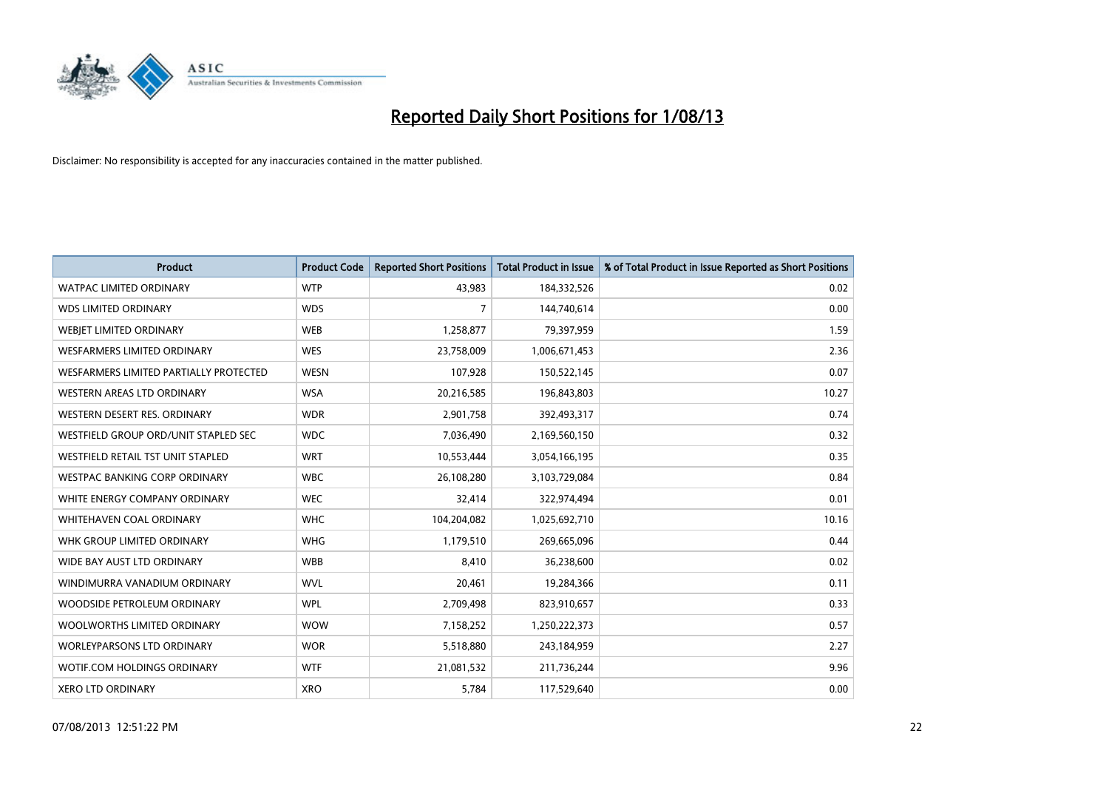

| <b>Product</b>                         | <b>Product Code</b> | <b>Reported Short Positions</b> | <b>Total Product in Issue</b> | % of Total Product in Issue Reported as Short Positions |
|----------------------------------------|---------------------|---------------------------------|-------------------------------|---------------------------------------------------------|
| <b>WATPAC LIMITED ORDINARY</b>         | <b>WTP</b>          | 43,983                          | 184,332,526                   | 0.02                                                    |
| <b>WDS LIMITED ORDINARY</b>            | <b>WDS</b>          | 7                               | 144,740,614                   | 0.00                                                    |
| WEBIET LIMITED ORDINARY                | <b>WEB</b>          | 1,258,877                       | 79,397,959                    | 1.59                                                    |
| WESFARMERS LIMITED ORDINARY            | <b>WES</b>          | 23,758,009                      | 1,006,671,453                 | 2.36                                                    |
| WESFARMERS LIMITED PARTIALLY PROTECTED | <b>WESN</b>         | 107,928                         | 150,522,145                   | 0.07                                                    |
| WESTERN AREAS LTD ORDINARY             | <b>WSA</b>          | 20,216,585                      | 196,843,803                   | 10.27                                                   |
| WESTERN DESERT RES. ORDINARY           | <b>WDR</b>          | 2,901,758                       | 392,493,317                   | 0.74                                                    |
| WESTFIELD GROUP ORD/UNIT STAPLED SEC   | <b>WDC</b>          | 7,036,490                       | 2,169,560,150                 | 0.32                                                    |
| WESTFIELD RETAIL TST UNIT STAPLED      | <b>WRT</b>          | 10,553,444                      | 3,054,166,195                 | 0.35                                                    |
| <b>WESTPAC BANKING CORP ORDINARY</b>   | <b>WBC</b>          | 26,108,280                      | 3,103,729,084                 | 0.84                                                    |
| WHITE ENERGY COMPANY ORDINARY          | <b>WEC</b>          | 32,414                          | 322,974,494                   | 0.01                                                    |
| WHITEHAVEN COAL ORDINARY               | <b>WHC</b>          | 104,204,082                     | 1,025,692,710                 | 10.16                                                   |
| WHK GROUP LIMITED ORDINARY             | <b>WHG</b>          | 1,179,510                       | 269,665,096                   | 0.44                                                    |
| WIDE BAY AUST LTD ORDINARY             | <b>WBB</b>          | 8,410                           | 36,238,600                    | 0.02                                                    |
| WINDIMURRA VANADIUM ORDINARY           | <b>WVL</b>          | 20,461                          | 19,284,366                    | 0.11                                                    |
| WOODSIDE PETROLEUM ORDINARY            | <b>WPL</b>          | 2,709,498                       | 823,910,657                   | 0.33                                                    |
| WOOLWORTHS LIMITED ORDINARY            | <b>WOW</b>          | 7,158,252                       | 1,250,222,373                 | 0.57                                                    |
| <b>WORLEYPARSONS LTD ORDINARY</b>      | <b>WOR</b>          | 5,518,880                       | 243,184,959                   | 2.27                                                    |
| WOTIF.COM HOLDINGS ORDINARY            | <b>WTF</b>          | 21,081,532                      | 211,736,244                   | 9.96                                                    |
| <b>XERO LTD ORDINARY</b>               | <b>XRO</b>          | 5,784                           | 117,529,640                   | 0.00                                                    |